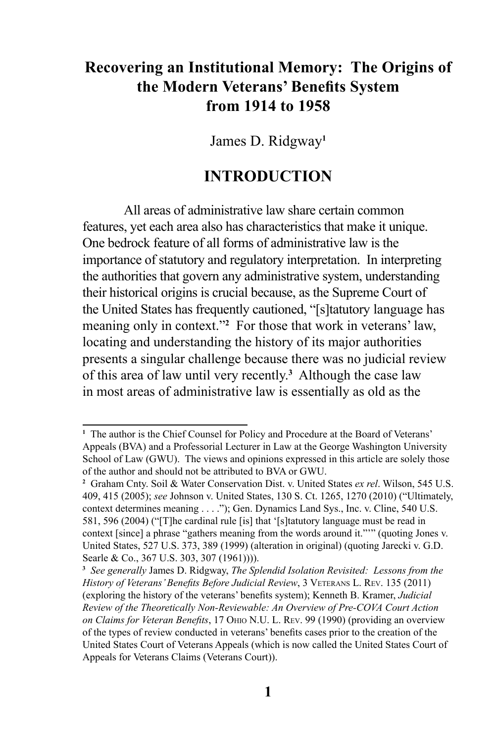# **Recovering an Institutional Memory: The Origins of the Modern Veterans' Benefits System from 1914 to 1958**

James D. Ridgway**<sup>1</sup>**

# **INTRODUCTION**

All areas of administrative law share certain common features, yet each area also has characteristics that make it unique. One bedrock feature of all forms of administrative law is the importance of statutory and regulatory interpretation. In interpreting the authorities that govern any administrative system, understanding their historical origins is crucial because, as the Supreme Court of the United States has frequently cautioned, "[s]tatutory language has meaning only in context."<sup>2</sup> For those that work in veterans' law, locating and understanding the history of its major authorities presents a singular challenge because there was no judicial review of this area of law until very recently.**<sup>3</sup>** Although the case law in most areas of administrative law is essentially as old as the

<sup>&</sup>lt;sup>1</sup> The author is the Chief Counsel for Policy and Procedure at the Board of Veterans' Appeals (BVA) and a Professorial Lecturer in Law at the George Washington University School of Law (GWU). The views and opinions expressed in this article are solely those of the author and should not be attributed to BVA or GWU.

**<sup>2</sup>** Graham Cnty. Soil & Water Conservation Dist. v. United States *ex rel*. Wilson, 545 U.S. 409, 415 (2005); *see* Johnson v. United States, 130 S. Ct. 1265, 1270 (2010) ("Ultimately, context determines meaning . . . ."); Gen. Dynamics Land Sys., Inc. v. Cline, 540 U.S. 581, 596 (2004) ("[T]he cardinal rule [is] that '[s]tatutory language must be read in context [since] a phrase "gathers meaning from the words around it."'" (quoting Jones v. United States, 527 U.S. 373, 389 (1999) (alteration in original) (quoting Jarecki v. G.D. Searle & Co., 367 U.S. 303, 307 (1961))).

**<sup>3</sup>** *See generally* James D. Ridgway, *The Splendid Isolation Revisited: Lessons from the History of Veterans' Benefits Before Judicial Review*, 3 VETERANS L. REV. 135 (2011) (exploring the history of the veterans' benefits system); Kenneth B. Kramer, *Judicial Review of the Theoretically Non-Reviewable: An Overview of Pre-COVA Court Action on Claims for Veteran Benefits*, 17 Ohio N.U. L. Rev. 99 (1990) (providing an overview of the types of review conducted in veterans' benefits cases prior to the creation of the United States Court of Veterans Appeals (which is now called the United States Court of Appeals for Veterans Claims (Veterans Court)).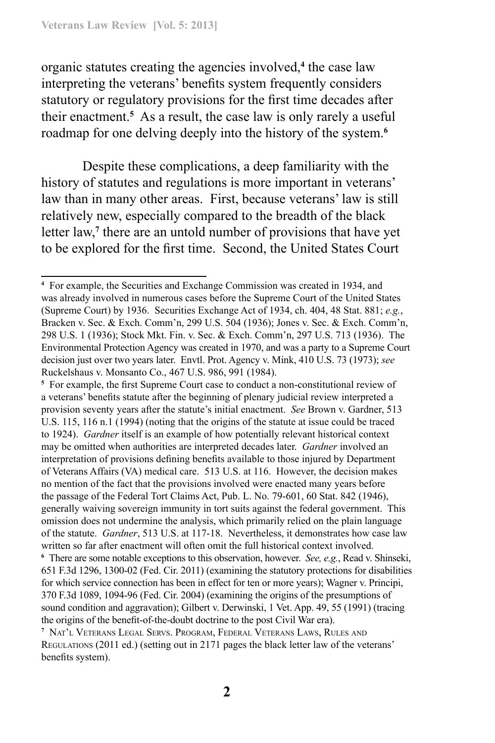organic statutes creating the agencies involved,**<sup>4</sup>** the case law interpreting the veterans' benefits system frequently considers statutory or regulatory provisions for the first time decades after their enactment.**<sup>5</sup>** As a result, the case law is only rarely a useful roadmap for one delving deeply into the history of the system.**<sup>6</sup>**

Despite these complications, a deep familiarity with the history of statutes and regulations is more important in veterans' law than in many other areas. First, because veterans' law is still relatively new, especially compared to the breadth of the black letter law,<sup>7</sup> there are an untold number of provisions that have yet to be explored for the first time. Second, the United States Court

**5** For example, the first Supreme Court case to conduct a non-constitutional review of a veterans' benefits statute after the beginning of plenary judicial review interpreted a provision seventy years after the statute's initial enactment. *See* Brown v. Gardner, 513 U.S. 115, 116 n.1 (1994) (noting that the origins of the statute at issue could be traced to 1924). *Gardner* itself is an example of how potentially relevant historical context may be omitted when authorities are interpreted decades later. *Gardner* involved an interpretation of provisions defining benefits available to those injured by Department of Veterans Affairs (VA) medical care. 513 U.S. at 116. However, the decision makes no mention of the fact that the provisions involved were enacted many years before the passage of the Federal Tort Claims Act, Pub. L. No. 79-601, 60 Stat. 842 (1946), generally waiving sovereign immunity in tort suits against the federal government. This omission does not undermine the analysis, which primarily relied on the plain language of the statute. *Gardner*, 513 U.S. at 117-18. Nevertheless, it demonstrates how case law written so far after enactment will often omit the full historical context involved.

**<sup>4</sup>** For example, the Securities and Exchange Commission was created in 1934, and was already involved in numerous cases before the Supreme Court of the United States (Supreme Court) by 1936. Securities Exchange Act of 1934, ch. 404, 48 Stat. 881; *e.g.*, Bracken v. Sec. & Exch. Comm'n, 299 U.S. 504 (1936); Jones v. Sec. & Exch. Comm'n, 298 U.S. 1 (1936); Stock Mkt. Fin. v. Sec. & Exch. Comm'n, 297 U.S. 713 (1936). The Environmental Protection Agency was created in 1970, and was a party to a Supreme Court decision just over two years later. Envtl. Prot. Agency v. Mink, 410 U.S. 73 (1973); *see*  Ruckelshaus v. Monsanto Co., 467 U.S. 986, 991 (1984).

**<sup>6</sup>** There are some notable exceptions to this observation, however. *See, e.g.*, Read v. Shinseki, 651 F.3d 1296, 1300-02 (Fed. Cir. 2011) (examining the statutory protections for disabilities for which service connection has been in effect for ten or more years); Wagner v. Principi, 370 F.3d 1089, 1094-96 (Fed. Cir. 2004) (examining the origins of the presumptions of sound condition and aggravation); Gilbert v. Derwinski, 1 Vet. App. 49, 55 (1991) (tracing the origins of the benefit-of-the-doubt doctrine to the post Civil War era).

**<sup>7</sup>** Nat'l Veterans Legal Servs. Program, Federal Veterans Laws, Rules and Regulations (2011 ed.) (setting out in 2171 pages the black letter law of the veterans' benefits system).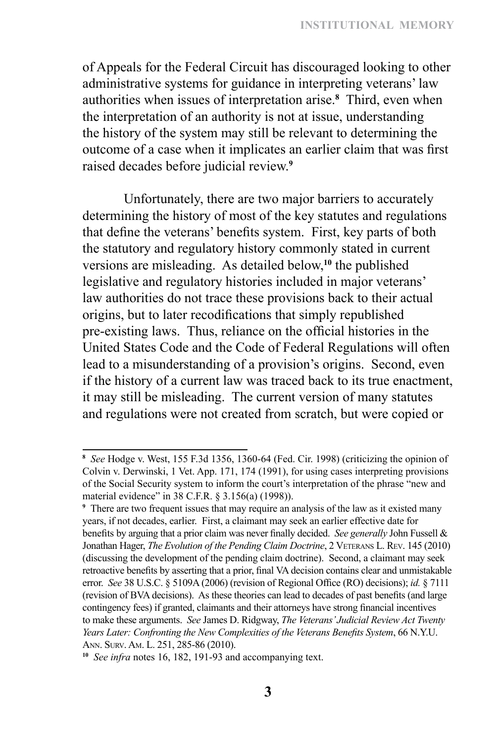of Appeals for the Federal Circuit has discouraged looking to other administrative systems for guidance in interpreting veterans' law authorities when issues of interpretation arise.**<sup>8</sup>** Third, even when the interpretation of an authority is not at issue, understanding the history of the system may still be relevant to determining the outcome of a case when it implicates an earlier claim that was first raised decades before judicial review.**<sup>9</sup>**

Unfortunately, there are two major barriers to accurately determining the history of most of the key statutes and regulations that define the veterans' benefits system. First, key parts of both the statutory and regulatory history commonly stated in current versions are misleading. As detailed below,**<sup>10</sup>** the published legislative and regulatory histories included in major veterans' law authorities do not trace these provisions back to their actual origins, but to later recodifications that simply republished pre‑existing laws. Thus, reliance on the official histories in the United States Code and the Code of Federal Regulations will often lead to a misunderstanding of a provision's origins. Second, even if the history of a current law was traced back to its true enactment, it may still be misleading. The current version of many statutes and regulations were not created from scratch, but were copied or

**<sup>8</sup>** *See* Hodge v. West, 155 F.3d 1356, 1360-64 (Fed. Cir. 1998) (criticizing the opinion of Colvin v. Derwinski, 1 Vet. App. 171, 174 (1991), for using cases interpreting provisions of the Social Security system to inform the court's interpretation of the phrase "new and material evidence" in 38 C.F.R. § 3.156(a) (1998)).

**<sup>9</sup>** There are two frequent issues that may require an analysis of the law as it existed many years, if not decades, earlier. First, a claimant may seek an earlier effective date for benefits by arguing that a prior claim was never finally decided. *See generally* John Fussell & Jonathan Hager, *The Evolution of the Pending Claim Doctrine*, 2 VETERANS L. REV. 145 (2010) (discussing the development of the pending claim doctrine). Second, a claimant may seek retroactive benefits by asserting that a prior, final VA decision contains clear and unmistakable error. *See* 38 U.S.C. § 5109A (2006) (revision of Regional Office (RO) decisions); *id.* § 7111 (revision of BVA decisions). As these theories can lead to decades of past benefits (and large contingency fees) if granted, claimants and their attorneys have strong financial incentives to make these arguments. *See* James D. Ridgway, *The Veterans' Judicial Review Act Twenty Years Later: Confronting the New Complexities of the Veterans Benefits System*, 66 N.Y.U. Ann. Surv. Am. L. 251, 285-86 (2010).

**<sup>10</sup>** *See infra* notes 16, 182, 191-93 and accompanying text.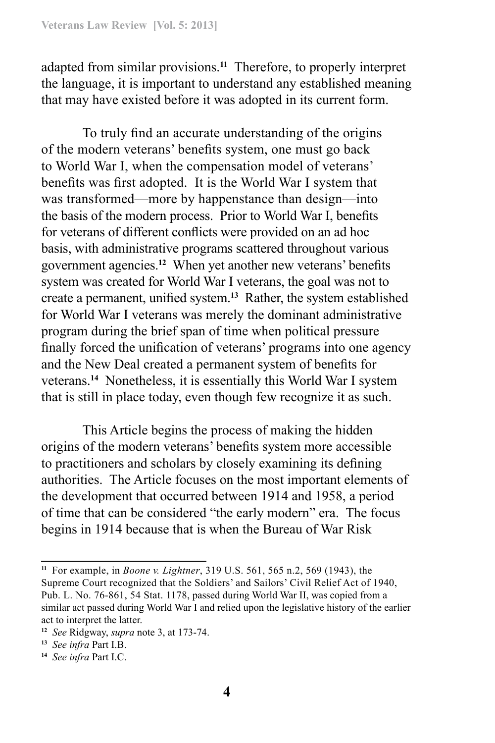adapted from similar provisions.**<sup>11</sup>** Therefore, to properly interpret the language, it is important to understand any established meaning that may have existed before it was adopted in its current form.

To truly find an accurate understanding of the origins of the modern veterans' benefits system, one must go back to World War I, when the compensation model of veterans' benefits was first adopted. It is the World War I system that was transformed—more by happenstance than design—into the basis of the modern process. Prior to World War I, benefits for veterans of different conflicts were provided on an ad hoc basis, with administrative programs scattered throughout various government agencies.**<sup>12</sup>** When yet another new veterans' benefits system was created for World War I veterans, the goal was not to create a permanent, unified system.**<sup>13</sup>** Rather, the system established for World War I veterans was merely the dominant administrative program during the brief span of time when political pressure finally forced the unification of veterans' programs into one agency and the New Deal created a permanent system of benefits for veterans.**<sup>14</sup>** Nonetheless, it is essentially this World War I system that is still in place today, even though few recognize it as such.

This Article begins the process of making the hidden origins of the modern veterans' benefits system more accessible to practitioners and scholars by closely examining its defining authorities. The Article focuses on the most important elements of the development that occurred between 1914 and 1958, a period of time that can be considered "the early modern" era. The focus begins in 1914 because that is when the Bureau of War Risk

**<sup>11</sup>** For example, in *Boone v. Lightner*, 319 U.S. 561, 565 n.2, 569 (1943), the Supreme Court recognized that the Soldiers' and Sailors' Civil Relief Act of 1940, Pub. L. No. 76-861, 54 Stat. 1178, passed during World War II, was copied from a similar act passed during World War I and relied upon the legislative history of the earlier act to interpret the latter.

**<sup>12</sup>** *See* Ridgway, *supra* note 3, at 173-74.

**<sup>13</sup>** *See infra* Part I.B.

**<sup>14</sup>** *See infra* Part I.C.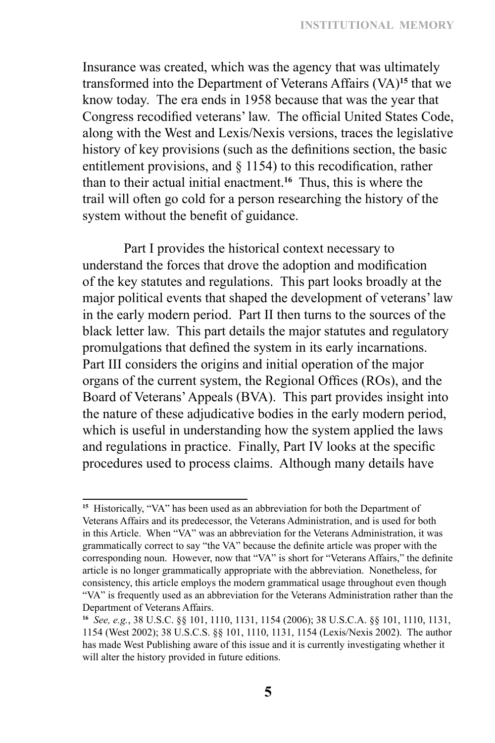Insurance was created, which was the agency that was ultimately transformed into the Department of Veterans Affairs (VA)**<sup>15</sup>** that we know today. The era ends in 1958 because that was the year that Congress recodified veterans' law. The official United States Code, along with the West and Lexis/Nexis versions, traces the legislative history of key provisions (such as the definitions section, the basic entitlement provisions, and § 1154) to this recodification, rather than to their actual initial enactment.**<sup>16</sup>** Thus, this is where the trail will often go cold for a person researching the history of the system without the benefit of guidance.

Part I provides the historical context necessary to understand the forces that drove the adoption and modification of the key statutes and regulations. This part looks broadly at the major political events that shaped the development of veterans' law in the early modern period. Part II then turns to the sources of the black letter law. This part details the major statutes and regulatory promulgations that defined the system in its early incarnations. Part III considers the origins and initial operation of the major organs of the current system, the Regional Offices (ROs), and the Board of Veterans' Appeals (BVA). This part provides insight into the nature of these adjudicative bodies in the early modern period, which is useful in understanding how the system applied the laws and regulations in practice. Finally, Part IV looks at the specific procedures used to process claims. Although many details have

**<sup>15</sup>** Historically, "VA" has been used as an abbreviation for both the Department of Veterans Affairs and its predecessor, the Veterans Administration, and is used for both in this Article. When "VA" was an abbreviation for the Veterans Administration, it was grammatically correct to say "the VA" because the definite article was proper with the corresponding noun. However, now that "VA" is short for "Veterans Affairs," the definite article is no longer grammatically appropriate with the abbreviation. Nonetheless, for consistency, this article employs the modern grammatical usage throughout even though "VA" is frequently used as an abbreviation for the Veterans Administration rather than the Department of Veterans Affairs.

**<sup>16</sup>** *See, e.g.*, 38 U.S.C. §§ 101, 1110, 1131, 1154 (2006); 38 U.S.C.A. §§ 101, 1110, 1131, 1154 (West 2002); 38 U.S.C.S. §§ 101, 1110, 1131, 1154 (Lexis/Nexis 2002). The author has made West Publishing aware of this issue and it is currently investigating whether it will alter the history provided in future editions.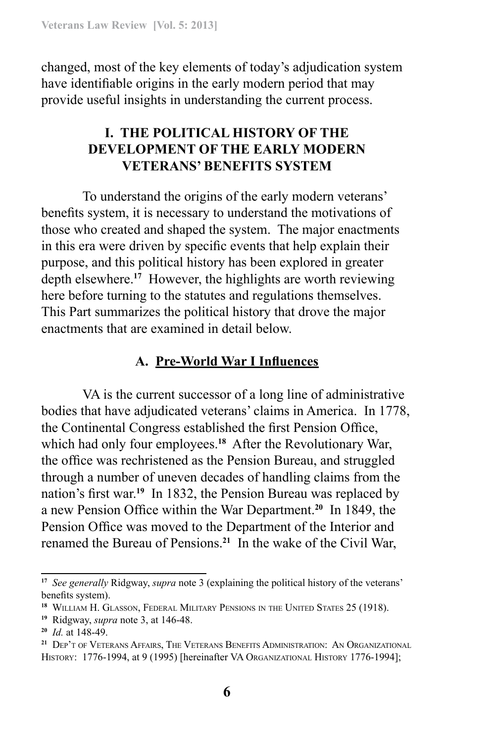changed, most of the key elements of today's adjudication system have identifiable origins in the early modern period that may provide useful insights in understanding the current process.

# **I. THE POLITICAL HISTORY OF THE DEVELOPMENT OF THE EARLY MODERN VETERANS' BENEFITS SYSTEM**

To understand the origins of the early modern veterans' benefits system, it is necessary to understand the motivations of those who created and shaped the system. The major enactments in this era were driven by specific events that help explain their purpose, and this political history has been explored in greater depth elsewhere.**<sup>17</sup>** However, the highlights are worth reviewing here before turning to the statutes and regulations themselves. This Part summarizes the political history that drove the major enactments that are examined in detail below.

### **A. Pre-World War I Influences**

VA is the current successor of a long line of administrative bodies that have adjudicated veterans' claims in America. In 1778, the Continental Congress established the first Pension Office, which had only four employees.**<sup>18</sup>** After the Revolutionary War, the office was rechristened as the Pension Bureau, and struggled through a number of uneven decades of handling claims from the nation's first war.**<sup>19</sup>** In 1832, the Pension Bureau was replaced by a new Pension Office within the War Department.**<sup>20</sup>** In 1849, the Pension Office was moved to the Department of the Interior and renamed the Bureau of Pensions.**<sup>21</sup>** In the wake of the Civil War,

**<sup>17</sup>** *See generally* Ridgway, *supra* note 3 (explaining the political history of the veterans' benefits system).

**<sup>18</sup>** William H. Glasson, Federal Military Pensions in the United States 25 (1918).

**<sup>19</sup>** Ridgway, *supra* note 3, at 146-48.

**<sup>20</sup>** *Id.* at 148-49.

**<sup>21</sup>** Dep't of Veterans Affairs, The Veterans Benefits Administration: An Organizational HISTORY: 1776-1994, at 9 (1995) [hereinafter VA ORGANIZATIONAL HISTORY 1776-1994];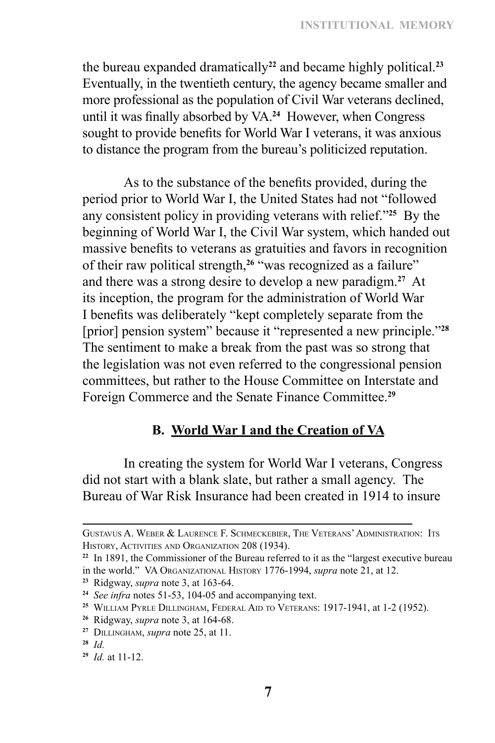the bureau expanded dramatically**<sup>22</sup>** and became highly political.**<sup>23</sup>** Eventually, in the twentieth century, the agency became smaller and more professional as the population of Civil War veterans declined, until it was finally absorbed by VA.**<sup>24</sup>** However, when Congress sought to provide benefits for World War I veterans, it was anxious to distance the program from the bureau's politicized reputation.

As to the substance of the benefits provided, during the period prior to World War I, the United States had not "followed any consistent policy in providing veterans with relief."**<sup>25</sup>** By the beginning of World War I, the Civil War system, which handed out massive benefits to veterans as gratuities and favors in recognition of their raw political strength,**<sup>26</sup>** "was recognized as a failure" and there was a strong desire to develop a new paradigm.**<sup>27</sup>** At its inception, the program for the administration of World War I benefits was deliberately "kept completely separate from the [prior] pension system" because it "represented a new principle."**<sup>28</sup>** The sentiment to make a break from the past was so strong that the legislation was not even referred to the congressional pension committees, but rather to the House Committee on Interstate and Foreign Commerce and the Senate Finance Committee.**<sup>29</sup>**

### **B. World War I and the Creation of VA**

In creating the system for World War I veterans, Congress did not start with a blank slate, but rather a small agency. The Bureau of War Risk Insurance had been created in 1914 to insure

Gustavus A. Weber & Laurence F. Schmeckebier, The Veterans' Administration: Its History, Activities and Organization 208 (1934).

**<sup>22</sup>** In 1891, the Commissioner of the Bureau referred to it as the "largest executive bureau in the world." VA Organizational History 1776-1994, *supra* note 21, at 12.

**<sup>23</sup>** Ridgway, *supra* note 3, at 163-64.

**<sup>24</sup>** *See infra* notes 51-53, 104-05 and accompanying text.

**<sup>25</sup>** William Pyrle Dillingham, Federal Aid to Veterans: 1917-1941, at 1-2 (1952).

**<sup>26</sup>** Ridgway, *supra* note 3, at 164-68.

**<sup>27</sup>** Dillingham, *supra* note 25, at 11.

**<sup>28</sup>** *Id.*

**<sup>29</sup>** *Id.* at 11-12.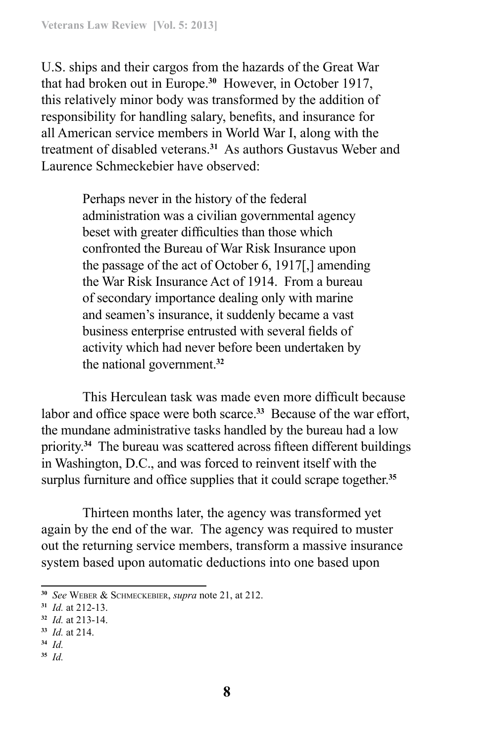U.S. ships and their cargos from the hazards of the Great War that had broken out in Europe.**<sup>30</sup>** However, in October 1917, this relatively minor body was transformed by the addition of responsibility for handling salary, benefits, and insurance for all American service members in World War I, along with the treatment of disabled veterans.**<sup>31</sup>** As authors Gustavus Weber and Laurence Schmeckebier have observed:

> Perhaps never in the history of the federal administration was a civilian governmental agency beset with greater difficulties than those which confronted the Bureau of War Risk Insurance upon the passage of the act of October 6, 1917[,] amending the War Risk Insurance Act of 1914. From a bureau of secondary importance dealing only with marine and seamen's insurance, it suddenly became a vast business enterprise entrusted with several fields of activity which had never before been undertaken by the national government.**<sup>32</sup>**

This Herculean task was made even more difficult because labor and office space were both scarce.**<sup>33</sup>** Because of the war effort, the mundane administrative tasks handled by the bureau had a low priority.**<sup>34</sup>** The bureau was scattered across fifteen different buildings in Washington, D.C., and was forced to reinvent itself with the surplus furniture and office supplies that it could scrape together.**<sup>35</sup>**

Thirteen months later, the agency was transformed yet again by the end of the war. The agency was required to muster out the returning service members, transform a massive insurance system based upon automatic deductions into one based upon

- **<sup>34</sup>** *Id.*
- **<sup>35</sup>** *Id.*

**<sup>30</sup>** *See* Weber & Schmeckebier, *supra* note 21, at 212.

**<sup>31</sup>** *Id.* at 212-13.

**<sup>32</sup>** *Id.* at 213-14.

**<sup>33</sup>** *Id.* at 214.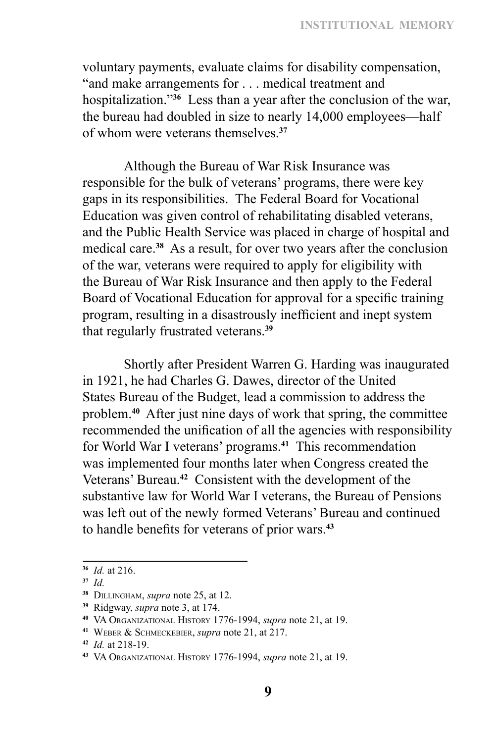voluntary payments, evaluate claims for disability compensation, "and make arrangements for . . . medical treatment and hospitalization."**<sup>36</sup>** Less than a year after the conclusion of the war, the bureau had doubled in size to nearly 14,000 employees—half of whom were veterans themselves.**<sup>37</sup>**

Although the Bureau of War Risk Insurance was responsible for the bulk of veterans' programs, there were key gaps in its responsibilities. The Federal Board for Vocational Education was given control of rehabilitating disabled veterans, and the Public Health Service was placed in charge of hospital and medical care.**<sup>38</sup>** As a result, for over two years after the conclusion of the war, veterans were required to apply for eligibility with the Bureau of War Risk Insurance and then apply to the Federal Board of Vocational Education for approval for a specific training program, resulting in a disastrously inefficient and inept system that regularly frustrated veterans.**<sup>39</sup>**

Shortly after President Warren G. Harding was inaugurated in 1921, he had Charles G. Dawes, director of the United States Bureau of the Budget, lead a commission to address the problem.**<sup>40</sup>** After just nine days of work that spring, the committee recommended the unification of all the agencies with responsibility for World War I veterans' programs.**<sup>41</sup>** This recommendation was implemented four months later when Congress created the Veterans' Bureau.**<sup>42</sup>** Consistent with the development of the substantive law for World War I veterans, the Bureau of Pensions was left out of the newly formed Veterans' Bureau and continued to handle benefits for veterans of prior wars.**<sup>43</sup>**

**<sup>36</sup>** *Id.* at 216.

**<sup>37</sup>** *Id.*

**<sup>38</sup>** Dillingham, *supra* note 25, at 12.

**<sup>39</sup>** Ridgway, *supra* note 3, at 174.

**<sup>40</sup>** VA Organizational History 1776-1994, *supra* note 21, at 19.

**<sup>41</sup>** Weber & Schmeckebier, *supra* note 21, at 217.

**<sup>42</sup>** *Id.* at 218-19.

**<sup>43</sup>** VA Organizational History 1776-1994, *supra* note 21, at 19.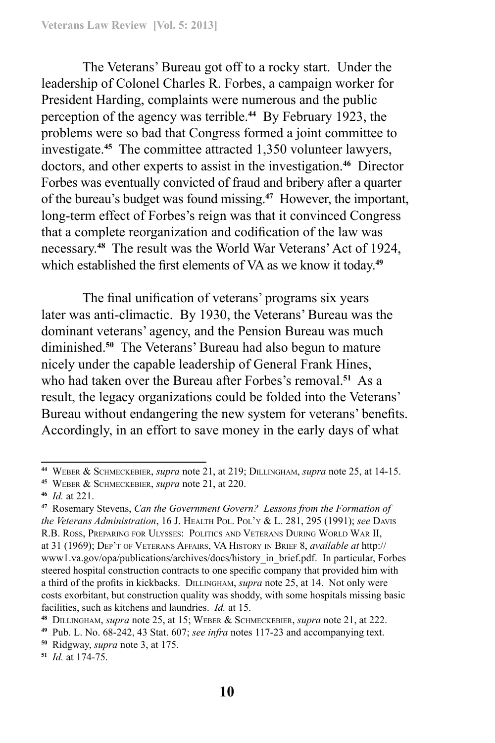The Veterans' Bureau got off to a rocky start. Under the leadership of Colonel Charles R. Forbes, a campaign worker for President Harding, complaints were numerous and the public perception of the agency was terrible.**<sup>44</sup>** By February 1923, the problems were so bad that Congress formed a joint committee to investigate.**<sup>45</sup>** The committee attracted 1,350 volunteer lawyers, doctors, and other experts to assist in the investigation.**<sup>46</sup>** Director Forbes was eventually convicted of fraud and bribery after a quarter of the bureau's budget was found missing.**<sup>47</sup>** However, the important, long-term effect of Forbes's reign was that it convinced Congress that a complete reorganization and codification of the law was necessary.**<sup>48</sup>** The result was the World War Veterans' Act of 1924, which established the first elements of VA as we know it today.**<sup>49</sup>**

The final unification of veterans' programs six years later was anti-climactic. By 1930, the Veterans' Bureau was the dominant veterans' agency, and the Pension Bureau was much diminished.**<sup>50</sup>** The Veterans' Bureau had also begun to mature nicely under the capable leadership of General Frank Hines, who had taken over the Bureau after Forbes's removal.**<sup>51</sup>** As a result, the legacy organizations could be folded into the Veterans' Bureau without endangering the new system for veterans' benefits. Accordingly, in an effort to save money in the early days of what

**<sup>44</sup>** Weber & Schmeckebier, *supra* note 21, at 219; Dillingham, *supra* note 25, at 14-15.

**<sup>45</sup>** Weber & Schmeckebier, *supra* note 21, at 220.

**<sup>46</sup>** *Id.* at 221.

**<sup>47</sup>** Rosemary Stevens, *Can the Government Govern? Lessons from the Formation of the Veterans Administration*, 16 J. HEALTH POL. POL'Y & L. 281, 295 (1991); see DAVIS R.B. Ross, Preparing for Ulysses: Politics and Veterans During World War II, at 31 (1969); Dep't of Veterans Affairs, VA History in Brief 8, *available at* http:// www1.va.gov/opa/publications/archives/docs/history in brief.pdf. In particular, Forbes steered hospital construction contracts to one specific company that provided him with a third of the profits in kickbacks. Dillingham, *supra* note 25, at 14. Not only were costs exorbitant, but construction quality was shoddy, with some hospitals missing basic facilities, such as kitchens and laundries. *Id.* at 15.

**<sup>48</sup>** Dillingham, *supra* note 25, at 15; Weber & Schmeckebier, *supra* note 21, at 222.

**<sup>49</sup>** Pub. L. No. 68-242, 43 Stat. 607; *see infra* notes 117-23 and accompanying text.

**<sup>50</sup>** Ridgway, *supra* note 3, at 175.

**<sup>51</sup>** *Id.* at 174-75.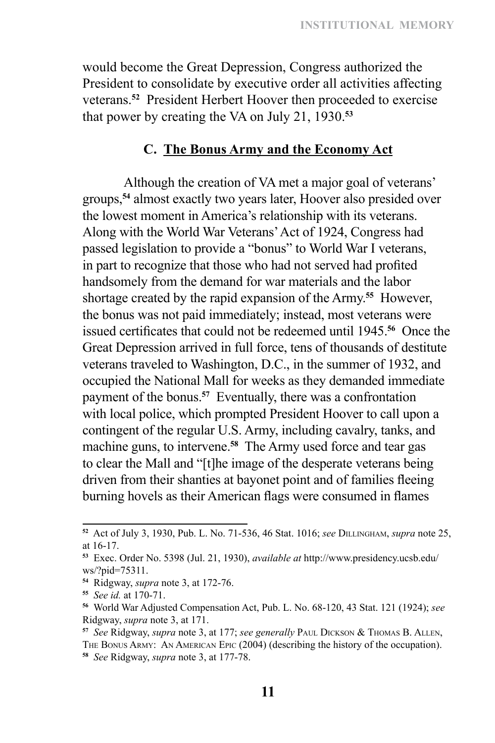would become the Great Depression, Congress authorized the President to consolidate by executive order all activities affecting veterans.**<sup>52</sup>** President Herbert Hoover then proceeded to exercise that power by creating the VA on July 21, 1930.**<sup>53</sup>**

#### **C. The Bonus Army and the Economy Act**

Although the creation of VA met a major goal of veterans' groups,**<sup>54</sup>** almost exactly two years later, Hoover also presided over the lowest moment in America's relationship with its veterans. Along with the World War Veterans' Act of 1924, Congress had passed legislation to provide a "bonus" to World War I veterans, in part to recognize that those who had not served had profited handsomely from the demand for war materials and the labor shortage created by the rapid expansion of the Army.**<sup>55</sup>** However, the bonus was not paid immediately; instead, most veterans were issued certificates that could not be redeemed until 1945.**<sup>56</sup>** Once the Great Depression arrived in full force, tens of thousands of destitute veterans traveled to Washington, D.C., in the summer of 1932, and occupied the National Mall for weeks as they demanded immediate payment of the bonus.**<sup>57</sup>** Eventually, there was a confrontation with local police, which prompted President Hoover to call upon a contingent of the regular U.S. Army, including cavalry, tanks, and machine guns, to intervene.**<sup>58</sup>** The Army used force and tear gas to clear the Mall and "[t]he image of the desperate veterans being driven from their shanties at bayonet point and of families fleeing burning hovels as their American flags were consumed in flames

**<sup>52</sup>** Act of July 3, 1930, Pub. L. No. 71-536, 46 Stat. 1016; *see* Dillingham, *supra* note 25, at 16-17.

**<sup>53</sup>** Exec. Order No. 5398 (Jul. 21, 1930), *available at* http://www.presidency.ucsb.edu/ ws/?pid=75311.

**<sup>54</sup>** Ridgway, *supra* note 3, at 172-76.

**<sup>55</sup>** *See id.* at 170-71.

**<sup>56</sup>** World War Adjusted Compensation Act, Pub. L. No. 68-120, 43 Stat. 121 (1924); *see* Ridgway, *supra* note 3, at 171.

**<sup>57</sup>** *See* Ridgway, *supra* note 3, at 177; *see generally* Paul Dickson & Thomas B. Allen, The Bonus Army: An American Epic (2004) (describing the history of the occupation). **<sup>58</sup>** *See* Ridgway, *supra* note 3, at 177-78.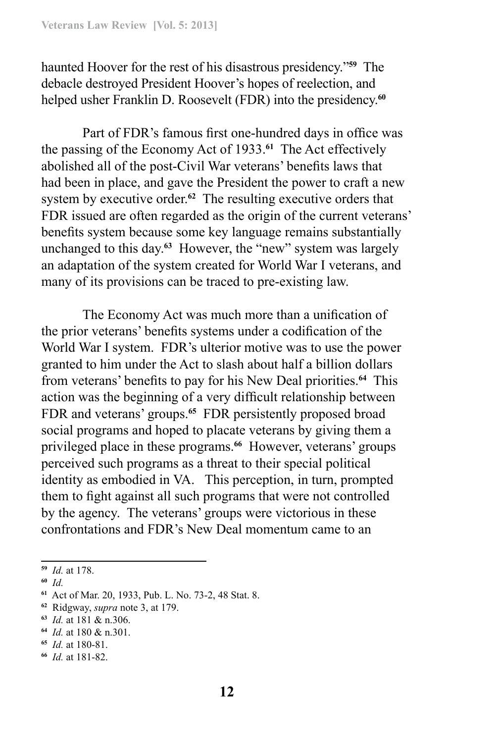haunted Hoover for the rest of his disastrous presidency."**<sup>59</sup>** The debacle destroyed President Hoover's hopes of reelection, and helped usher Franklin D. Roosevelt (FDR) into the presidency.**<sup>60</sup>**

Part of FDR's famous first one-hundred days in office was the passing of the Economy Act of 1933.**<sup>61</sup>** The Act effectively abolished all of the post-Civil War veterans' benefits laws that had been in place, and gave the President the power to craft a new system by executive order.**<sup>62</sup>** The resulting executive orders that FDR issued are often regarded as the origin of the current veterans' benefits system because some key language remains substantially unchanged to this day.**<sup>63</sup>** However, the "new" system was largely an adaptation of the system created for World War I veterans, and many of its provisions can be traced to pre-existing law.

The Economy Act was much more than a unification of the prior veterans' benefits systems under a codification of the World War I system. FDR's ulterior motive was to use the power granted to him under the Act to slash about half a billion dollars from veterans' benefits to pay for his New Deal priorities.**<sup>64</sup>** This action was the beginning of a very difficult relationship between FDR and veterans' groups.**<sup>65</sup>** FDR persistently proposed broad social programs and hoped to placate veterans by giving them a privileged place in these programs.**<sup>66</sup>** However, veterans' groups perceived such programs as a threat to their special political identity as embodied in VA. This perception, in turn, prompted them to fight against all such programs that were not controlled by the agency. The veterans' groups were victorious in these confrontations and FDR's New Deal momentum came to an

**<sup>59</sup>** *Id.* at 178.

**<sup>60</sup>** *Id.*

**<sup>61</sup>** Act of Mar. 20, 1933, Pub. L. No. 73-2, 48 Stat. 8.

**<sup>62</sup>** Ridgway, *supra* note 3, at 179.

**<sup>63</sup>** *Id.* at 181 & n.306.

**<sup>64</sup>** *Id.* at 180 & n.301.

**<sup>65</sup>** *Id.* at 180-81.

**<sup>66</sup>** *Id.* at 181-82.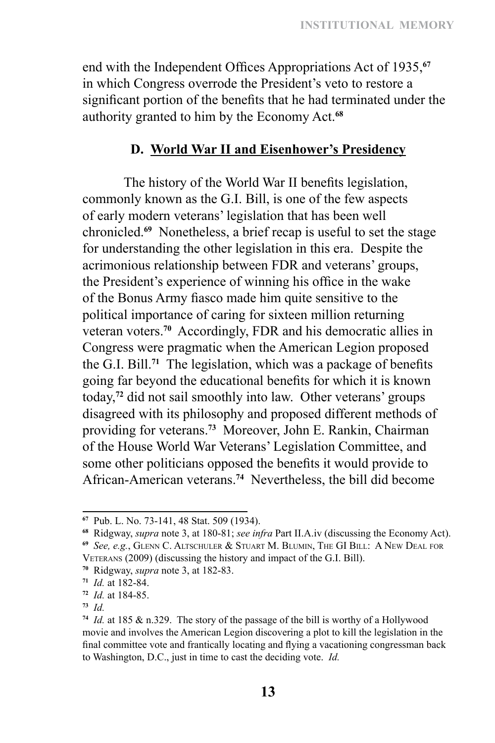end with the Independent Offices Appropriations Act of 1935,**<sup>67</sup>** in which Congress overrode the President's veto to restore a significant portion of the benefits that he had terminated under the authority granted to him by the Economy Act.**<sup>68</sup>**

#### **D. World War II and Eisenhower's Presidency**

The history of the World War II benefits legislation, commonly known as the G.I. Bill, is one of the few aspects of early modern veterans' legislation that has been well chronicled.**<sup>69</sup>** Nonetheless, a brief recap is useful to set the stage for understanding the other legislation in this era. Despite the acrimonious relationship between FDR and veterans' groups, the President's experience of winning his office in the wake of the Bonus Army fiasco made him quite sensitive to the political importance of caring for sixteen million returning veteran voters.**<sup>70</sup>** Accordingly, FDR and his democratic allies in Congress were pragmatic when the American Legion proposed the G.I. Bill.**<sup>71</sup>** The legislation, which was a package of benefits going far beyond the educational benefits for which it is known today,**<sup>72</sup>** did not sail smoothly into law. Other veterans' groups disagreed with its philosophy and proposed different methods of providing for veterans.**<sup>73</sup>** Moreover, John E. Rankin, Chairman of the House World War Veterans' Legislation Committee, and some other politicians opposed the benefits it would provide to African‑American veterans.**<sup>74</sup>** Nevertheless, the bill did become

**<sup>70</sup>** Ridgway, *supra* note 3, at 182-83.

**<sup>67</sup>** Pub. L. No. 73-141, 48 Stat. 509 (1934).

**<sup>68</sup>** Ridgway, *supra* note 3, at 180-81; *see infra* Part II.A.iv (discussing the Economy Act). **<sup>69</sup>** *See, e.g.*, Glenn C. Altschuler & Stuart M. Blumin, The GI Bill: A New Deal for

Veterans (2009) (discussing the history and impact of the G.I. Bill).

**<sup>71</sup>** *Id.* at 182-84.

**<sup>72</sup>** *Id.* at 184-85.

**<sup>73</sup>** *Id.*

**<sup>74</sup>** *Id.* at 185 & n.329. The story of the passage of the bill is worthy of a Hollywood movie and involves the American Legion discovering a plot to kill the legislation in the final committee vote and frantically locating and flying a vacationing congressman back to Washington, D.C., just in time to cast the deciding vote. *Id.*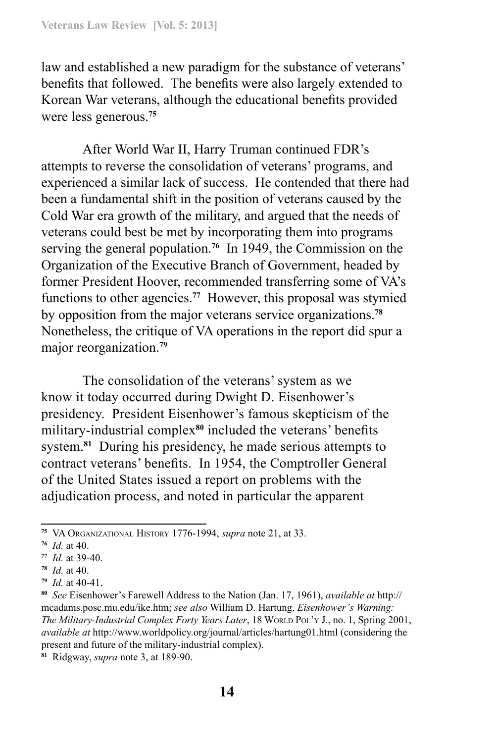law and established a new paradigm for the substance of veterans' benefits that followed. The benefits were also largely extended to Korean War veterans, although the educational benefits provided were less generous.**<sup>75</sup>**

After World War II, Harry Truman continued FDR's attempts to reverse the consolidation of veterans' programs, and experienced a similar lack of success. He contended that there had been a fundamental shift in the position of veterans caused by the Cold War era growth of the military, and argued that the needs of veterans could best be met by incorporating them into programs serving the general population.**<sup>76</sup>** In 1949, the Commission on the Organization of the Executive Branch of Government, headed by former President Hoover, recommended transferring some of VA's functions to other agencies.**<sup>77</sup>** However, this proposal was stymied by opposition from the major veterans service organizations.**<sup>78</sup>** Nonetheless, the critique of VA operations in the report did spur a major reorganization.**<sup>79</sup>**

The consolidation of the veterans' system as we know it today occurred during Dwight D. Eisenhower's presidency. President Eisenhower's famous skepticism of the military-industrial complex<sup>80</sup> included the veterans' benefits system.**<sup>81</sup>** During his presidency, he made serious attempts to contract veterans' benefits. In 1954, the Comptroller General of the United States issued a report on problems with the adjudication process, and noted in particular the apparent

**<sup>75</sup>** VA Organizational History 1776-1994, *supra* note 21, at 33.

**<sup>76</sup>** *Id.* at 40.

**<sup>77</sup>** *Id.* at 39-40.

**<sup>78</sup>** *Id.* at 40.

**<sup>79</sup>** *Id.* at 40-41.

**<sup>80</sup>** *See* Eisenhower's Farewell Address to the Nation (Jan. 17, 1961), *available at* http:// mcadams.posc.mu.edu/ike.htm; *see also* William D. Hartung, *Eisenhower's Warning: The Military-Industrial Complex Forty Years Later*, 18 WORLD POL'Y J., no. 1, Spring 2001, *available at* http://www.worldpolicy.org/journal/articles/hartung01.html (considering the present and future of the military-industrial complex).

**<sup>81</sup>** Ridgway, *supra* note 3, at 189-90.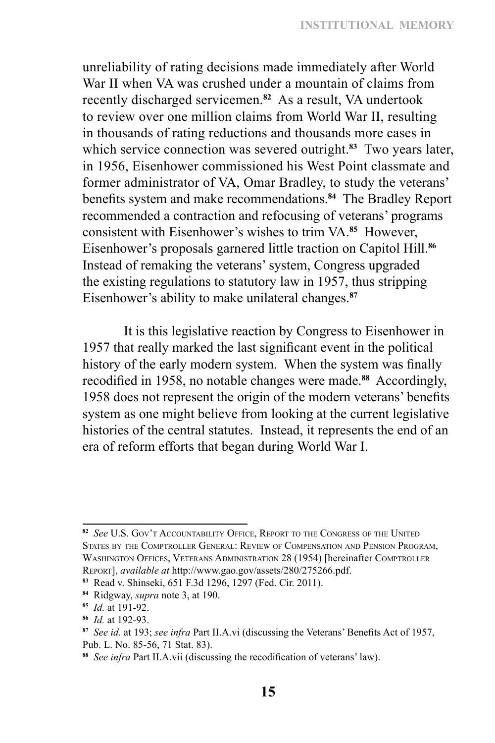unreliability of rating decisions made immediately after World War II when VA was crushed under a mountain of claims from recently discharged servicemen.**<sup>82</sup>** As a result, VA undertook to review over one million claims from World War II, resulting in thousands of rating reductions and thousands more cases in which service connection was severed outright.**<sup>83</sup>** Two years later, in 1956, Eisenhower commissioned his West Point classmate and former administrator of VA, Omar Bradley, to study the veterans' benefits system and make recommendations.**<sup>84</sup>** The Bradley Report recommended a contraction and refocusing of veterans' programs consistent with Eisenhower's wishes to trim VA.**<sup>85</sup>** However, Eisenhower's proposals garnered little traction on Capitol Hill.**<sup>86</sup>** Instead of remaking the veterans' system, Congress upgraded the existing regulations to statutory law in 1957, thus stripping Eisenhower's ability to make unilateral changes.**<sup>87</sup>**

It is this legislative reaction by Congress to Eisenhower in 1957 that really marked the last significant event in the political history of the early modern system. When the system was finally recodified in 1958, no notable changes were made.**<sup>88</sup>** Accordingly, 1958 does not represent the origin of the modern veterans' benefits system as one might believe from looking at the current legislative histories of the central statutes. Instead, it represents the end of an era of reform efforts that began during World War I.

**<sup>82</sup>** *See* U.S. Gov't Accountability Office, Report to the Congress of the United States by the Comptroller General: Review of Compensation and Pension Program, Washington Offices, Veterans Administration 28 (1954) [hereinafter Comptroller Report], *available at* http://www.gao.gov/assets/280/275266.pdf.

**<sup>83</sup>** Read v. Shinseki, 651 F.3d 1296, 1297 (Fed. Cir. 2011).

**<sup>84</sup>** Ridgway, *supra* note 3, at 190.

**<sup>85</sup>** *Id.* at 191-92.

**<sup>86</sup>** *Id.* at 192-93.

**<sup>87</sup>** *See id.* at 193; *see infra* Part II.A.vi (discussing the Veterans' Benefits Act of 1957, Pub. L. No. 85-56, 71 Stat. 83).

**<sup>88</sup>** *See infra* Part II.A.vii (discussing the recodification of veterans' law).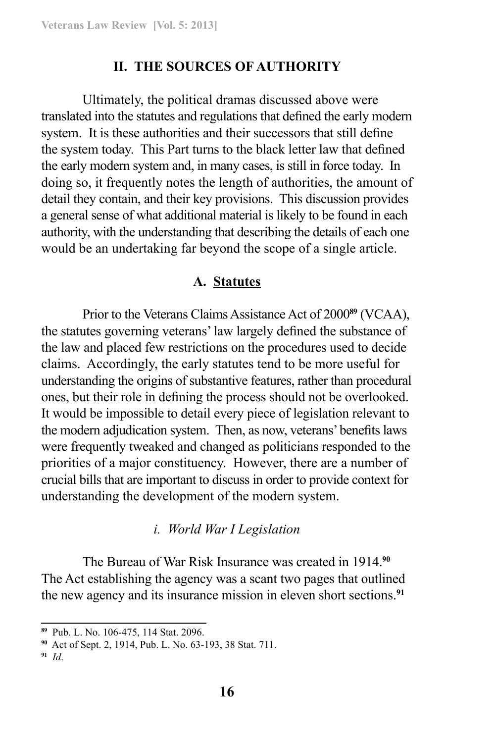#### **II. THE SOURCES OF AUTHORITY**

Ultimately, the political dramas discussed above were translated into the statutes and regulations that defined the early modern system. It is these authorities and their successors that still define the system today. This Part turns to the black letter law that defined the early modern system and, in many cases, is still in force today. In doing so, it frequently notes the length of authorities, the amount of detail they contain, and their key provisions. This discussion provides a general sense of what additional material is likely to be found in each authority, with the understanding that describing the details of each one would be an undertaking far beyond the scope of a single article.

#### **A. Statutes**

Prior to the Veterans Claims Assistance Act of 2000**<sup>89</sup>** (VCAA), the statutes governing veterans' law largely defined the substance of the law and placed few restrictions on the procedures used to decide claims. Accordingly, the early statutes tend to be more useful for understanding the origins of substantive features, rather than procedural ones, but their role in defining the process should not be overlooked. It would be impossible to detail every piece of legislation relevant to the modern adjudication system. Then, as now, veterans' benefits laws were frequently tweaked and changed as politicians responded to the priorities of a major constituency. However, there are a number of crucial bills that are important to discuss in order to provide context for understanding the development of the modern system.

#### *i. World War I Legislation*

The Bureau of War Risk Insurance was created in 1914.**<sup>90</sup>** The Act establishing the agency was a scant two pages that outlined the new agency and its insurance mission in eleven short sections.**<sup>91</sup>**

**<sup>89</sup>** Pub. L. No. 106-475, 114 Stat. 2096.

**<sup>90</sup>** Act of Sept. 2, 1914, Pub. L. No. 63-193, 38 Stat. 711.

**<sup>91</sup>** *Id*.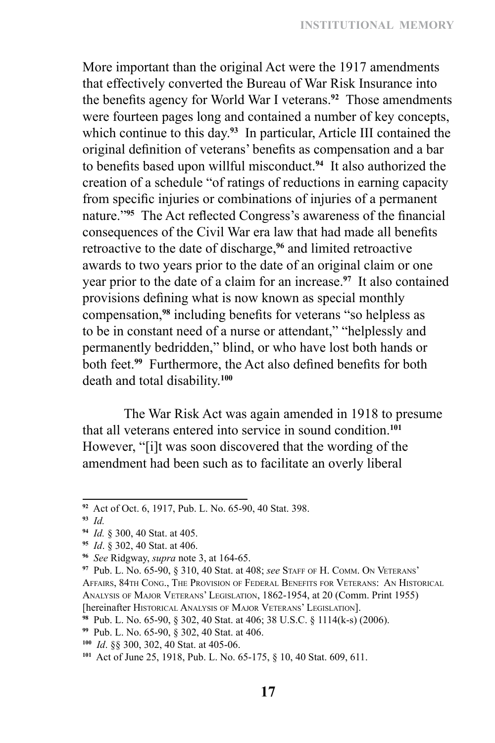More important than the original Act were the 1917 amendments that effectively converted the Bureau of War Risk Insurance into the benefits agency for World War I veterans.**<sup>92</sup>** Those amendments were fourteen pages long and contained a number of key concepts, which continue to this day.**<sup>93</sup>** In particular, Article III contained the original definition of veterans' benefits as compensation and a bar to benefits based upon willful misconduct.**<sup>94</sup>** It also authorized the creation of a schedule "of ratings of reductions in earning capacity from specific injuries or combinations of injuries of a permanent nature."**<sup>95</sup>** The Act reflected Congress's awareness of the financial consequences of the Civil War era law that had made all benefits retroactive to the date of discharge,**<sup>96</sup>** and limited retroactive awards to two years prior to the date of an original claim or one year prior to the date of a claim for an increase.**<sup>97</sup>** It also contained provisions defining what is now known as special monthly compensation,**<sup>98</sup>** including benefits for veterans "so helpless as to be in constant need of a nurse or attendant," "helplessly and permanently bedridden," blind, or who have lost both hands or both feet.**<sup>99</sup>** Furthermore, the Act also defined benefits for both death and total disability.**<sup>100</sup>**

The War Risk Act was again amended in 1918 to presume that all veterans entered into service in sound condition.**<sup>101</sup>** However, "[i]t was soon discovered that the wording of the amendment had been such as to facilitate an overly liberal

**<sup>92</sup>** Act of Oct. 6, 1917, Pub. L. No. 65-90, 40 Stat. 398.

**<sup>93</sup>** *Id.*

**<sup>94</sup>** *Id.* § 300, 40 Stat. at 405.

**<sup>95</sup>** *Id*. § 302, 40 Stat. at 406.

**<sup>96</sup>** *See* Ridgway, *supra* note 3, at 164-65.

**<sup>97</sup>** Pub. L. No. 65-90, § 310, 40 Stat. at 408; *see* Staff of H. Comm. On Veterans' Affairs, 84th Cong., The Provision of Federal Benefits for Veterans: An Historical Analysis of Major Veterans' Legislation, 1862-1954, at 20 (Comm. Print 1955) [hereinafter Historical Analysis of Major Veterans' Legislation].

**<sup>98</sup>** Pub. L. No. 65-90, § 302, 40 Stat. at 406; 38 U.S.C. § 1114(k-s) (2006).

**<sup>99</sup>** Pub. L. No. 65-90, § 302, 40 Stat. at 406.

**<sup>100</sup>** *Id*. §§ 300, 302, 40 Stat. at 405-06.

**<sup>101</sup>** Act of June 25, 1918, Pub. L. No. 65-175, § 10, 40 Stat. 609, 611.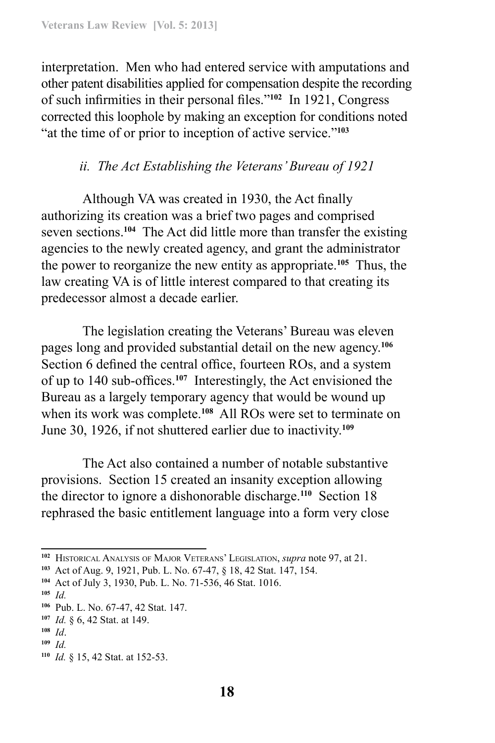interpretation. Men who had entered service with amputations and other patent disabilities applied for compensation despite the recording of such infirmities in their personal files."**<sup>102</sup>** In 1921, Congress corrected this loophole by making an exception for conditions noted "at the time of or prior to inception of active service."**<sup>103</sup>**

# *ii. The Act Establishing the Veterans' Bureau of 1921*

Although VA was created in 1930, the Act finally authorizing its creation was a brief two pages and comprised seven sections.**<sup>104</sup>** The Act did little more than transfer the existing agencies to the newly created agency, and grant the administrator the power to reorganize the new entity as appropriate.**<sup>105</sup>** Thus, the law creating VA is of little interest compared to that creating its predecessor almost a decade earlier.

The legislation creating the Veterans' Bureau was eleven pages long and provided substantial detail on the new agency.**<sup>106</sup>** Section 6 defined the central office, fourteen ROs, and a system of up to 140 sub-offices.**<sup>107</sup>** Interestingly, the Act envisioned the Bureau as a largely temporary agency that would be wound up when its work was complete.**<sup>108</sup>** All ROs were set to terminate on June 30, 1926, if not shuttered earlier due to inactivity.**<sup>109</sup>**

The Act also contained a number of notable substantive provisions. Section 15 created an insanity exception allowing the director to ignore a dishonorable discharge.**<sup>110</sup>** Section 18 rephrased the basic entitlement language into a form very close

**<sup>102</sup>** Historical Analysis of Major Veterans' Legislation, *supra* note 97, at 21.

**<sup>103</sup>** Act of Aug. 9, 1921, Pub. L. No. 67-47, § 18, 42 Stat. 147, 154.

**<sup>104</sup>** Act of July 3, 1930, Pub. L. No. 71-536, 46 Stat. 1016.

**<sup>105</sup>** *Id.*

**<sup>106</sup>** Pub. L. No. 67-47, 42 Stat. 147.

**<sup>107</sup>** *Id.* § 6, 42 Stat. at 149.

**<sup>108</sup>** *Id*.

**<sup>109</sup>** *Id.* 

**<sup>110</sup>** *Id.* § 15, 42 Stat. at 152-53.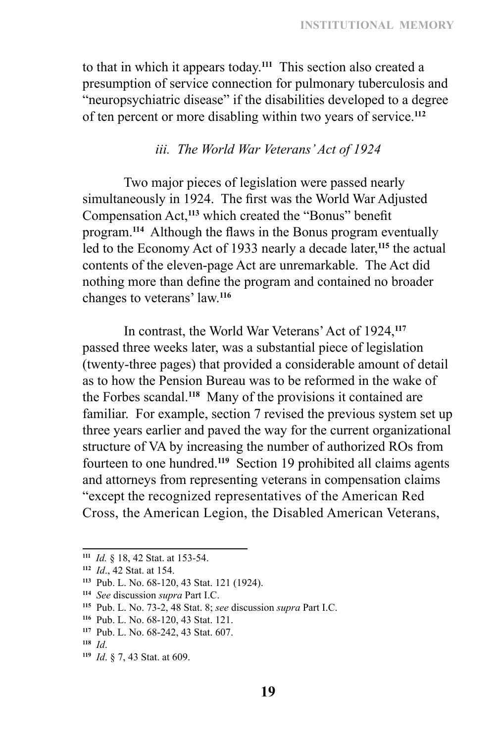to that in which it appears today.**<sup>111</sup>** This section also created a presumption of service connection for pulmonary tuberculosis and "neuropsychiatric disease" if the disabilities developed to a degree of ten percent or more disabling within two years of service.**<sup>112</sup>**

#### *iii. The World War Veterans' Act of 1924*

Two major pieces of legislation were passed nearly simultaneously in 1924. The first was the World War Adjusted Compensation Act,**<sup>113</sup>** which created the "Bonus" benefit program.**<sup>114</sup>** Although the flaws in the Bonus program eventually led to the Economy Act of 1933 nearly a decade later,**<sup>115</sup>** the actual contents of the eleven-page Act are unremarkable. The Act did nothing more than define the program and contained no broader changes to veterans' law.**<sup>116</sup>**

In contrast, the World War Veterans' Act of 1924,**<sup>117</sup>** passed three weeks later, was a substantial piece of legislation (twenty‑three pages) that provided a considerable amount of detail as to how the Pension Bureau was to be reformed in the wake of the Forbes scandal.**<sup>118</sup>** Many of the provisions it contained are familiar. For example, section 7 revised the previous system set up three years earlier and paved the way for the current organizational structure of VA by increasing the number of authorized ROs from fourteen to one hundred.**<sup>119</sup>** Section 19 prohibited all claims agents and attorneys from representing veterans in compensation claims "except the recognized representatives of the American Red Cross, the American Legion, the Disabled American Veterans,

**<sup>111</sup>** *Id.* § 18, 42 Stat. at 153-54.

**<sup>112</sup>** *Id*., 42 Stat. at 154.

**<sup>113</sup>** Pub. L. No. 68-120, 43 Stat. 121 (1924).

**<sup>114</sup>** *See* discussion *supra* Part I.C.

**<sup>115</sup>** Pub. L. No. 73-2, 48 Stat. 8; *see* discussion *supra* Part I.C.

**<sup>116</sup>** Pub. L. No. 68-120, 43 Stat. 121.

**<sup>117</sup>** Pub. L. No. 68-242, 43 Stat. 607.

**<sup>118</sup>** *Id*.

**<sup>119</sup>** *Id*. § 7, 43 Stat. at 609.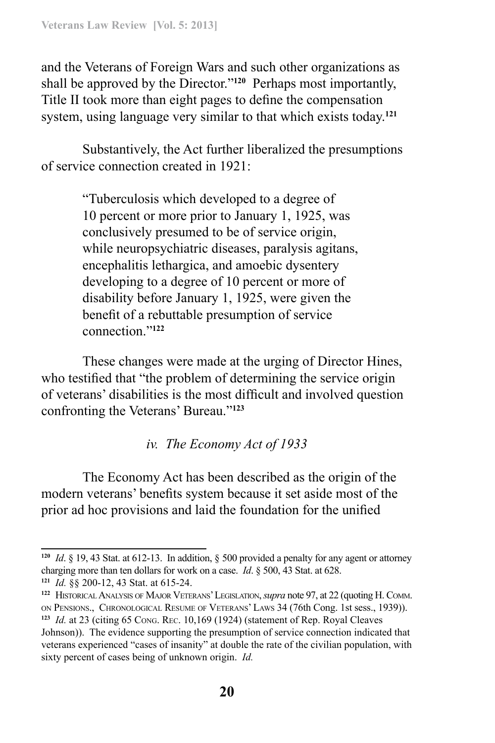and the Veterans of Foreign Wars and such other organizations as shall be approved by the Director."**<sup>120</sup>** Perhaps most importantly, Title II took more than eight pages to define the compensation system, using language very similar to that which exists today.**<sup>121</sup>**

Substantively, the Act further liberalized the presumptions of service connection created in 1921:

> "Tuberculosis which developed to a degree of 10 percent or more prior to January 1, 1925, was conclusively presumed to be of service origin, while neuropsychiatric diseases, paralysis agitans, encephalitis lethargica, and amoebic dysentery developing to a degree of 10 percent or more of disability before January 1, 1925, were given the benefit of a rebuttable presumption of service connection."**<sup>122</sup>**

These changes were made at the urging of Director Hines, who testified that "the problem of determining the service origin of veterans' disabilities is the most difficult and involved question confronting the Veterans' Bureau."**<sup>123</sup>**

### *iv. The Economy Act of 1933*

The Economy Act has been described as the origin of the modern veterans' benefits system because it set aside most of the prior ad hoc provisions and laid the foundation for the unified

**<sup>120</sup>** *Id*. § 19, 43 Stat. at 612-13. In addition, § 500 provided a penalty for any agent or attorney charging more than ten dollars for work on a case. *Id*. § 500, 43 Stat. at 628.

**<sup>121</sup>** *Id.* §§ 200-12, 43 Stat. at 615-24.

**<sup>122</sup>** HistoricalAnalysis of Major Veterans' Legislation, *supra* note 97, at 22 (quoting H. Comm. on Pensions., Chronological Resume of Veterans' Laws 34 (76th Cong. 1st sess., 1939)).

**<sup>123</sup>** *Id.* at 23 (citing 65 Cong. Rec. 10,169 (1924) (statement of Rep. Royal Cleaves Johnson)). The evidence supporting the presumption of service connection indicated that veterans experienced "cases of insanity" at double the rate of the civilian population, with sixty percent of cases being of unknown origin. *Id.*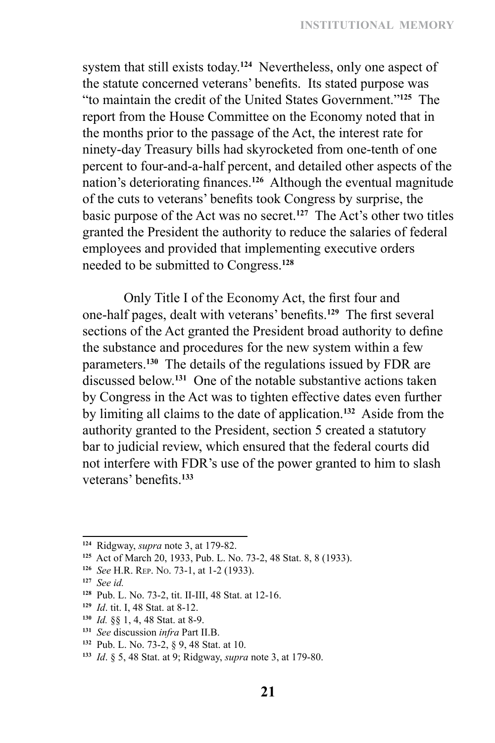system that still exists today.**<sup>124</sup>** Nevertheless, only one aspect of the statute concerned veterans' benefits. Its stated purpose was "to maintain the credit of the United States Government."**<sup>125</sup>** The report from the House Committee on the Economy noted that in the months prior to the passage of the Act, the interest rate for ninety-day Treasury bills had skyrocketed from one-tenth of one percent to four-and-a‑half percent, and detailed other aspects of the nation's deteriorating finances.**<sup>126</sup>** Although the eventual magnitude of the cuts to veterans' benefits took Congress by surprise, the basic purpose of the Act was no secret.**<sup>127</sup>** The Act's other two titles granted the President the authority to reduce the salaries of federal employees and provided that implementing executive orders needed to be submitted to Congress.**<sup>128</sup>**

Only Title I of the Economy Act, the first four and one‑half pages, dealt with veterans' benefits.**<sup>129</sup>** The first several sections of the Act granted the President broad authority to define the substance and procedures for the new system within a few parameters.**<sup>130</sup>** The details of the regulations issued by FDR are discussed below.**<sup>131</sup>** One of the notable substantive actions taken by Congress in the Act was to tighten effective dates even further by limiting all claims to the date of application.**<sup>132</sup>** Aside from the authority granted to the President, section 5 created a statutory bar to judicial review, which ensured that the federal courts did not interfere with FDR's use of the power granted to him to slash veterans' benefits.**<sup>133</sup>**

- **<sup>130</sup>** *Id.* §§ 1, 4, 48 Stat. at 8-9.
- **<sup>131</sup>** *See* discussion *infra* Part II.B.

**<sup>124</sup>** Ridgway, *supra* note 3, at 179-82.

**<sup>125</sup>** Act of March 20, 1933, Pub. L. No. 73-2, 48 Stat. 8, 8 (1933).

**<sup>126</sup>** *See* H.R. Rep. No. 73-1, at 1-2 (1933).

**<sup>127</sup>** *See id.*

**<sup>128</sup>** Pub. L. No. 73-2, tit. II-III, 48 Stat. at 12-16.

**<sup>129</sup>** *Id*. tit. I, 48 Stat. at 8-12.

**<sup>132</sup>** Pub. L. No. 73-2, § 9, 48 Stat. at 10.

**<sup>133</sup>** *Id*. § 5, 48 Stat. at 9; Ridgway, *supra* note 3, at 179-80.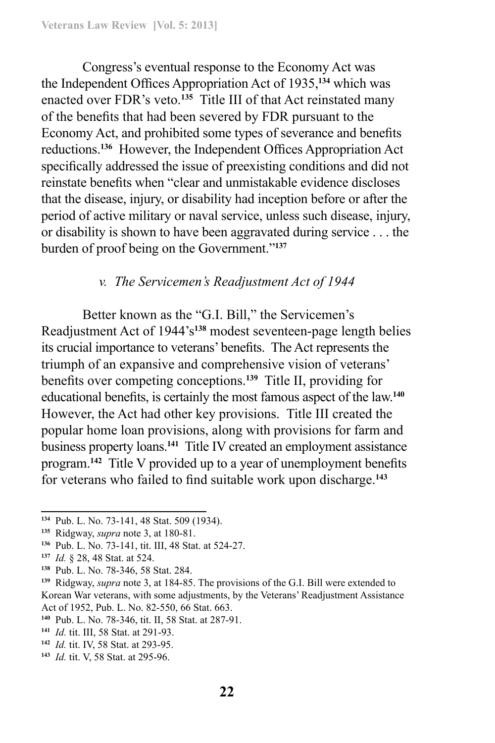Congress's eventual response to the Economy Act was the Independent Offices Appropriation Act of 1935,**<sup>134</sup>** which was enacted over FDR's veto.**<sup>135</sup>** Title III of that Act reinstated many of the benefits that had been severed by FDR pursuant to the Economy Act, and prohibited some types of severance and benefits reductions.**<sup>136</sup>** However, the Independent Offices Appropriation Act specifically addressed the issue of preexisting conditions and did not reinstate benefits when "clear and unmistakable evidence discloses that the disease, injury, or disability had inception before or after the period of active military or naval service, unless such disease, injury, or disability is shown to have been aggravated during service . . . the burden of proof being on the Government."**<sup>137</sup>**

#### *v. The Servicemen's Readjustment Act of 1944*

Better known as the "G.I. Bill," the Servicemen's Readjustment Act of 1944's**<sup>138</sup>** modest seventeen-page length belies its crucial importance to veterans' benefits. The Act represents the triumph of an expansive and comprehensive vision of veterans' benefits over competing conceptions.**<sup>139</sup>** Title II, providing for educational benefits, is certainly the most famous aspect of the law.**<sup>140</sup>** However, the Act had other key provisions. Title III created the popular home loan provisions, along with provisions for farm and business property loans.**<sup>141</sup>** Title IV created an employment assistance program.**<sup>142</sup>** Title V provided up to a year of unemployment benefits for veterans who failed to find suitable work upon discharge.**<sup>143</sup>**

**<sup>138</sup>** Pub. L. No. 78-346, 58 Stat. 284.

- **<sup>141</sup>** *Id.* tit. III, 58 Stat. at 291-93.
- **<sup>142</sup>** *Id.* tit. IV, 58 Stat. at 293-95.
- **<sup>143</sup>** *Id.* tit. V, 58 Stat. at 295-96.

**<sup>134</sup>** Pub. L. No. 73-141, 48 Stat. 509 (1934).

**<sup>135</sup>** Ridgway, *supra* note 3, at 180-81.

**<sup>136</sup>** Pub. L. No. 73-141, tit. III, 48 Stat. at 524-27.

**<sup>137</sup>** *Id.* § 28, 48 Stat. at 524.

**<sup>139</sup>** Ridgway, *supra* note 3, at 184-85. The provisions of the G.I. Bill were extended to Korean War veterans, with some adjustments, by the Veterans' Readjustment Assistance Act of 1952, Pub. L. No. 82-550, 66 Stat. 663.

**<sup>140</sup>** Pub. L. No. 78-346, tit. II, 58 Stat. at 287-91.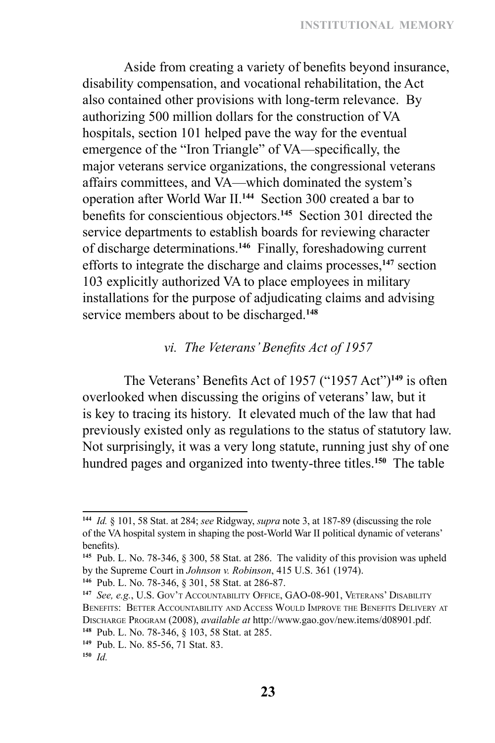Aside from creating a variety of benefits beyond insurance, disability compensation, and vocational rehabilitation, the Act also contained other provisions with long-term relevance. By authorizing 500 million dollars for the construction of VA hospitals, section 101 helped pave the way for the eventual emergence of the "Iron Triangle" of VA—specifically, the major veterans service organizations, the congressional veterans affairs committees, and VA—which dominated the system's operation after World War II.**<sup>144</sup>** Section 300 created a bar to benefits for conscientious objectors.**<sup>145</sup>** Section 301 directed the service departments to establish boards for reviewing character of discharge determinations.**<sup>146</sup>** Finally, foreshadowing current efforts to integrate the discharge and claims processes,**<sup>147</sup>** section 103 explicitly authorized VA to place employees in military installations for the purpose of adjudicating claims and advising service members about to be discharged.**<sup>148</sup>**

### *vi. The Veterans' Benefits Act of 1957*

The Veterans' Benefits Act of 1957 ("1957 Act")**<sup>149</sup>** is often overlooked when discussing the origins of veterans' law, but it is key to tracing its history. It elevated much of the law that had previously existed only as regulations to the status of statutory law. Not surprisingly, it was a very long statute, running just shy of one hundred pages and organized into twenty-three titles.<sup>150</sup> The table

**<sup>144</sup>** *Id.* § 101, 58 Stat. at 284; *see* Ridgway, *supra* note 3, at 187-89 (discussing the role of the VA hospital system in shaping the post-World War II political dynamic of veterans' benefits).

**<sup>145</sup>** Pub. L. No. 78-346, § 300, 58 Stat. at 286. The validity of this provision was upheld by the Supreme Court in *Johnson v. Robinson*, 415 U.S. 361 (1974).

**<sup>146</sup>** Pub. L. No. 78-346, § 301, 58 Stat. at 286-87.

**<sup>147</sup>** *See, e.g.*, U.S. Gov't Accountability Office, GAO-08-901, Veterans' Disability Benefits: Better Accountability and Access Would Improve the Benefits Delivery at Discharge Program (2008), *available at* http://www.gao.gov/new.items/d08901.pdf. **<sup>148</sup>** Pub. L. No. 78-346, § 103, 58 Stat. at 285.

**<sup>149</sup>** Pub. L. No. 85-56, 71 Stat. 83.

**<sup>150</sup>** *Id.*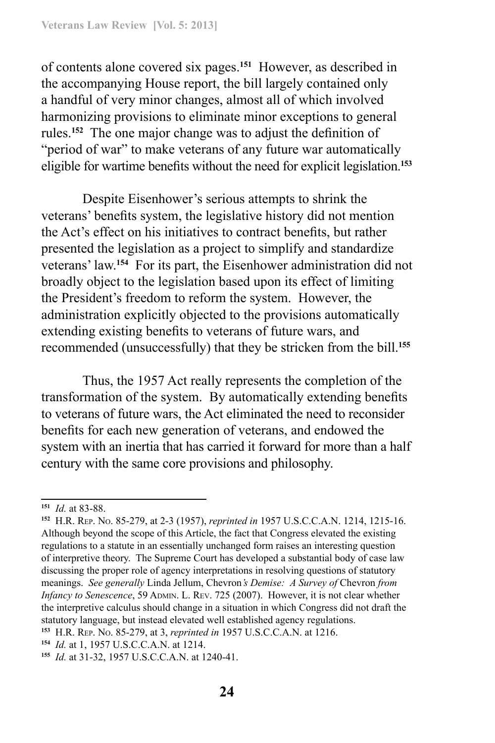of contents alone covered six pages.**<sup>151</sup>** However, as described in the accompanying House report, the bill largely contained only a handful of very minor changes, almost all of which involved harmonizing provisions to eliminate minor exceptions to general rules.**<sup>152</sup>** The one major change was to adjust the definition of "period of war" to make veterans of any future war automatically eligible for wartime benefits without the need for explicit legislation.**<sup>153</sup>**

Despite Eisenhower's serious attempts to shrink the veterans' benefits system, the legislative history did not mention the Act's effect on his initiatives to contract benefits, but rather presented the legislation as a project to simplify and standardize veterans' law.**<sup>154</sup>** For its part, the Eisenhower administration did not broadly object to the legislation based upon its effect of limiting the President's freedom to reform the system. However, the administration explicitly objected to the provisions automatically extending existing benefits to veterans of future wars, and recommended (unsuccessfully) that they be stricken from the bill.**<sup>155</sup>**

Thus, the 1957 Act really represents the completion of the transformation of the system. By automatically extending benefits to veterans of future wars, the Act eliminated the need to reconsider benefits for each new generation of veterans, and endowed the system with an inertia that has carried it forward for more than a half century with the same core provisions and philosophy.

**<sup>151</sup>** *Id.* at 83-88.

**<sup>152</sup>** H.R. Rep. No. 85-279, at 2-3 (1957), *reprinted in* 1957 U.S.C.C.A.N. 1214, 1215-16. Although beyond the scope of this Article, the fact that Congress elevated the existing regulations to a statute in an essentially unchanged form raises an interesting question of interpretive theory. The Supreme Court has developed a substantial body of case law discussing the proper role of agency interpretations in resolving questions of statutory meanings. *See generally* Linda Jellum, Chevron*'s Demise: A Survey of* Chevron *from Infancy to Senescence*, 59 ADMIN. L. REV. 725 (2007). However, it is not clear whether the interpretive calculus should change in a situation in which Congress did not draft the statutory language, but instead elevated well established agency regulations. **<sup>153</sup>** H.R. Rep. No. 85-279, at 3, *reprinted in* 1957 U.S.C.C.A.N. at 1216.

**<sup>154</sup>** *Id.* at 1, 1957 U.S.C.C.A.N. at 1214.

**<sup>155</sup>** *Id.* at 31-32, 1957 U.S.C.C.A.N. at 1240-41.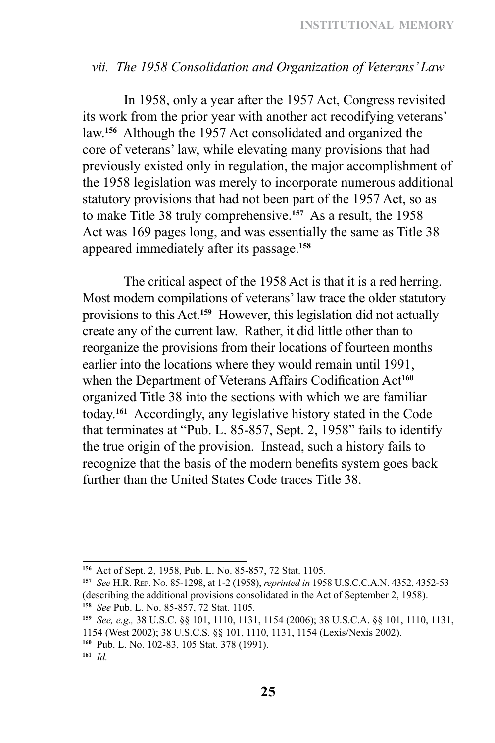### *vii. The 1958 Consolidation and Organization of Veterans' Law*

In 1958, only a year after the 1957 Act, Congress revisited its work from the prior year with another act recodifying veterans' law.**<sup>156</sup>** Although the 1957 Act consolidated and organized the core of veterans' law, while elevating many provisions that had previously existed only in regulation, the major accomplishment of the 1958 legislation was merely to incorporate numerous additional statutory provisions that had not been part of the 1957 Act, so as to make Title 38 truly comprehensive.**<sup>157</sup>** As a result, the 1958 Act was 169 pages long, and was essentially the same as Title 38 appeared immediately after its passage.**<sup>158</sup>**

The critical aspect of the 1958 Act is that it is a red herring. Most modern compilations of veterans' law trace the older statutory provisions to this Act.**<sup>159</sup>** However, this legislation did not actually create any of the current law. Rather, it did little other than to reorganize the provisions from their locations of fourteen months earlier into the locations where they would remain until 1991, when the Department of Veterans Affairs Codification Act**<sup>160</sup>** organized Title 38 into the sections with which we are familiar today.**<sup>161</sup>** Accordingly, any legislative history stated in the Code that terminates at "Pub. L. 85-857, Sept. 2, 1958" fails to identify the true origin of the provision. Instead, such a history fails to recognize that the basis of the modern benefits system goes back further than the United States Code traces Title 38.

**<sup>156</sup>** Act of Sept. 2, 1958, Pub. L. No. 85-857, 72 Stat. 1105.

**<sup>157</sup>** *See* H.R. Rep. No. 85-1298, at 1-2 (1958), *reprinted in* 1958 U.S.C.C.A.N. 4352, 4352‑53 (describing the additional provisions consolidated in the Act of September 2, 1958). **<sup>158</sup>** *See* Pub. L. No. 85-857, 72 Stat. 1105.

**<sup>159</sup>** *See, e.g.,* 38 U.S.C. §§ 101, 1110, 1131, 1154 (2006); 38 U.S.C.A. §§ 101, 1110, 1131, 1154 (West 2002); 38 U.S.C.S. §§ 101, 1110, 1131, 1154 (Lexis/Nexis 2002).

**<sup>160</sup>** Pub. L. No. 102-83, 105 Stat. 378 (1991). **<sup>161</sup>** *Id.*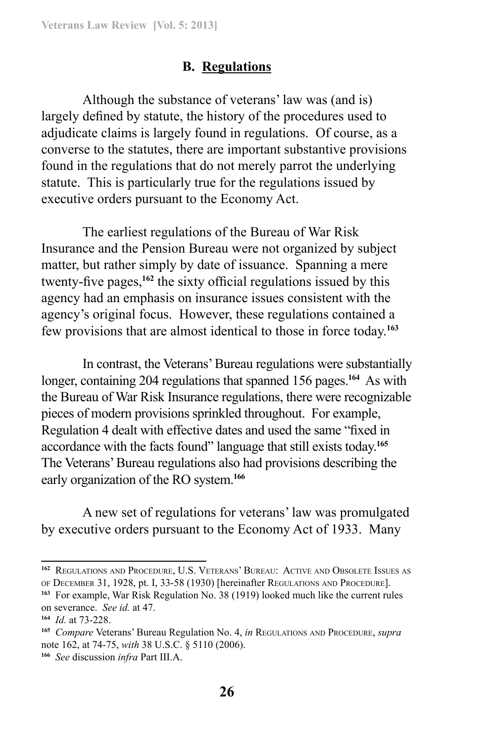# **B. Regulations**

Although the substance of veterans' law was (and is) largely defined by statute, the history of the procedures used to adjudicate claims is largely found in regulations. Of course, as a converse to the statutes, there are important substantive provisions found in the regulations that do not merely parrot the underlying statute. This is particularly true for the regulations issued by executive orders pursuant to the Economy Act.

The earliest regulations of the Bureau of War Risk Insurance and the Pension Bureau were not organized by subject matter, but rather simply by date of issuance. Spanning a mere twenty-five pages,**<sup>162</sup>** the sixty official regulations issued by this agency had an emphasis on insurance issues consistent with the agency's original focus. However, these regulations contained a few provisions that are almost identical to those in force today.**<sup>163</sup>**

In contrast, the Veterans' Bureau regulations were substantially longer, containing 204 regulations that spanned 156 pages.**<sup>164</sup>** As with the Bureau of War Risk Insurance regulations, there were recognizable pieces of modern provisions sprinkled throughout. For example, Regulation 4 dealt with effective dates and used the same "fixed in accordance with the facts found" language that still exists today.**<sup>165</sup>** The Veterans' Bureau regulations also had provisions describing the early organization of the RO system.**<sup>166</sup>**

A new set of regulations for veterans' law was promulgated by executive orders pursuant to the Economy Act of 1933. Many

**<sup>162</sup>** Regulations and Procedure, U.S. Veterans' Bureau: Active and Obsolete Issues as of December 31, 1928, pt. I, 33-58 (1930) [hereinafter Regulations and Procedure].

**<sup>163</sup>** For example, War Risk Regulation No. 38 (1919) looked much like the current rules on severance. *See id.* at 47.

**<sup>164</sup>** *Id.* at 73-228.

**<sup>165</sup>** *Compare* Veterans' Bureau Regulation No. 4, *in* Regulations and Procedure, *supra* note 162, at 74-75, *with* 38 U.S.C. § 5110 (2006).

**<sup>166</sup>** *See* discussion *infra* Part III.A.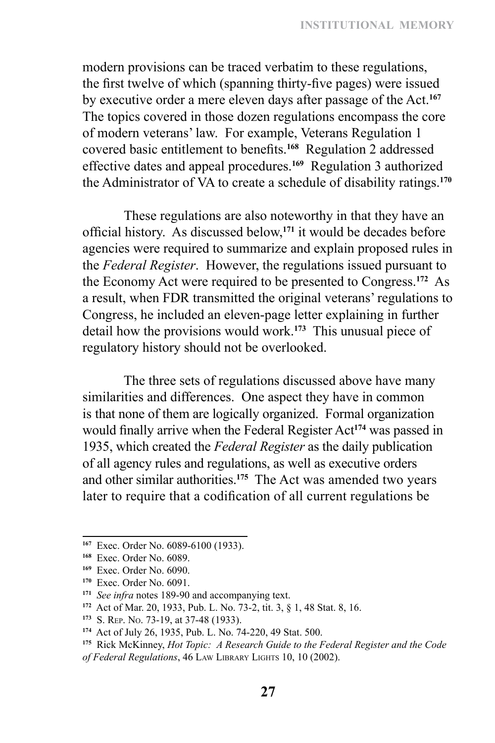modern provisions can be traced verbatim to these regulations, the first twelve of which (spanning thirty-five pages) were issued by executive order a mere eleven days after passage of the Act.**<sup>167</sup>** The topics covered in those dozen regulations encompass the core of modern veterans' law. For example, Veterans Regulation 1 covered basic entitlement to benefits.**<sup>168</sup>** Regulation 2 addressed effective dates and appeal procedures.**<sup>169</sup>** Regulation 3 authorized the Administrator of VA to create a schedule of disability ratings.**<sup>170</sup>**

These regulations are also noteworthy in that they have an official history. As discussed below,**<sup>171</sup>** it would be decades before agencies were required to summarize and explain proposed rules in the *Federal Register*. However, the regulations issued pursuant to the Economy Act were required to be presented to Congress.**<sup>172</sup>** As a result, when FDR transmitted the original veterans' regulations to Congress, he included an eleven-page letter explaining in further detail how the provisions would work.**<sup>173</sup>** This unusual piece of regulatory history should not be overlooked.

The three sets of regulations discussed above have many similarities and differences. One aspect they have in common is that none of them are logically organized. Formal organization would finally arrive when the Federal Register Act**<sup>174</sup>** was passed in 1935, which created the *Federal Register* as the daily publication of all agency rules and regulations, as well as executive orders and other similar authorities.**<sup>175</sup>** The Act was amended two years later to require that a codification of all current regulations be

**<sup>167</sup>** Exec. Order No. 6089-6100 (1933).

**<sup>168</sup>** Exec. Order No. 6089.

**<sup>169</sup>** Exec. Order No. 6090.

**<sup>170</sup>** Exec. Order No. 6091.

**<sup>171</sup>** *See infra* notes 189-90 and accompanying text.

**<sup>172</sup>** Act of Mar. 20, 1933, Pub. L. No. 73-2, tit. 3, § 1, 48 Stat. 8, 16.

**<sup>173</sup>** S. Rep. No. 73-19, at 37-48 (1933).

**<sup>174</sup>** Act of July 26, 1935, Pub. L. No. 74-220, 49 Stat. 500.

**<sup>175</sup>** Rick McKinney, *Hot Topic: A Research Guide to the Federal Register and the Code of Federal Regulations*, 46 Law Library Lights 10, 10 (2002).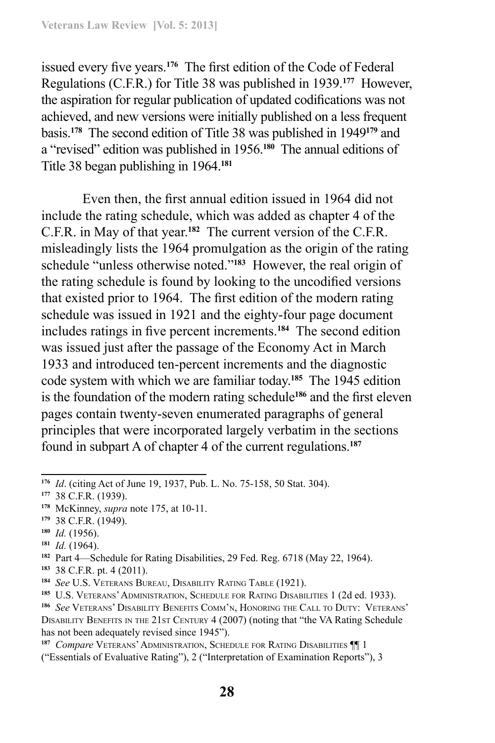issued every five years.**<sup>176</sup>** The first edition of the Code of Federal Regulations (C.F.R.) for Title 38 was published in 1939.**<sup>177</sup>** However, the aspiration for regular publication of updated codifications was not achieved, and new versions were initially published on a less frequent basis.**<sup>178</sup>** The second edition of Title 38 was published in 1949**<sup>179</sup>** and a "revised" edition was published in 1956.**<sup>180</sup>** The annual editions of Title 38 began publishing in 1964.**<sup>181</sup>**

Even then, the first annual edition issued in 1964 did not include the rating schedule, which was added as chapter 4 of the C.F.R. in May of that year.**<sup>182</sup>** The current version of the C.F.R. misleadingly lists the 1964 promulgation as the origin of the rating schedule "unless otherwise noted."**<sup>183</sup>** However, the real origin of the rating schedule is found by looking to the uncodified versions that existed prior to 1964. The first edition of the modern rating schedule was issued in 1921 and the eighty-four page document includes ratings in five percent increments.**<sup>184</sup>** The second edition was issued just after the passage of the Economy Act in March 1933 and introduced ten-percent increments and the diagnostic code system with which we are familiar today.**<sup>185</sup>** The 1945 edition is the foundation of the modern rating schedule**<sup>186</sup>** and the first eleven pages contain twenty-seven enumerated paragraphs of general principles that were incorporated largely verbatim in the sections found in subpart A of chapter 4 of the current regulations.**<sup>187</sup>**

- **<sup>179</sup>** 38 C.F.R. (1949).
- **<sup>180</sup>** *Id.* (1956).
- **<sup>181</sup>** *Id.* (1964).
- **<sup>182</sup>** Part 4—Schedule for Rating Disabilities, 29 Fed. Reg. 6718 (May 22, 1964).
- **<sup>183</sup>** 38 C.F.R. pt. 4 (2011).

**<sup>176</sup>** *Id*. (citing Act of June 19, 1937, Pub. L. No. 75-158, 50 Stat. 304).

**<sup>177</sup>** 38 C.F.R. (1939).

**<sup>178</sup>** McKinney, *supra* note 175, at 10-11.

**<sup>184</sup>** *See* U.S. Veterans Bureau, Disability Rating Table (1921).

**<sup>185</sup>** U.S. Veterans' Administration, Schedule for Rating Disabilities 1 (2d ed. 1933).

**<sup>186</sup>** *See* Veterans' Disability Benefits Comm'n, Honoring the Call to Duty: Veterans' DISABILITY BENEFITS IN THE 21ST CENTURY 4 (2007) (noting that "the VA Rating Schedule has not been adequately revised since 1945").

**<sup>187</sup>** *Compare* Veterans' Administration, Schedule for Rating Disabilities ¶¶ 1

<sup>(&</sup>quot;Essentials of Evaluative Rating"), 2 ("Interpretation of Examination Reports"), 3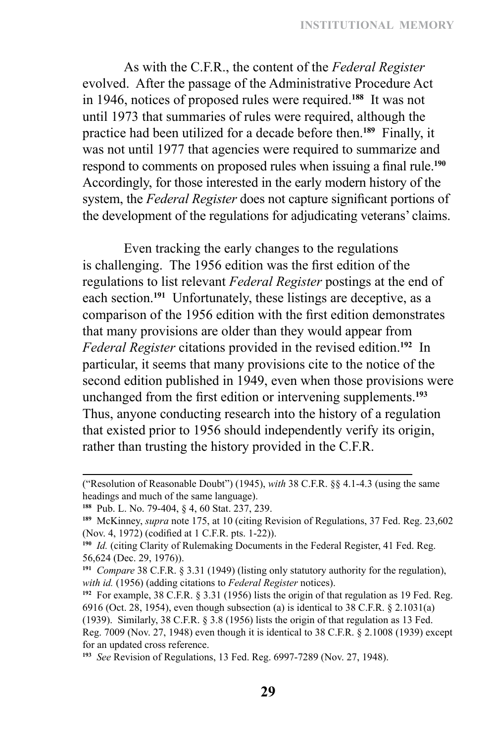As with the C.F.R., the content of the *Federal Register* evolved. After the passage of the Administrative Procedure Act in 1946, notices of proposed rules were required.**<sup>188</sup>** It was not until 1973 that summaries of rules were required, although the practice had been utilized for a decade before then.**<sup>189</sup>** Finally, it was not until 1977 that agencies were required to summarize and respond to comments on proposed rules when issuing a final rule.**<sup>190</sup>** Accordingly, for those interested in the early modern history of the system, the *Federal Register* does not capture significant portions of the development of the regulations for adjudicating veterans' claims.

Even tracking the early changes to the regulations is challenging. The 1956 edition was the first edition of the regulations to list relevant *Federal Register* postings at the end of each section.**<sup>191</sup>** Unfortunately, these listings are deceptive, as a comparison of the 1956 edition with the first edition demonstrates that many provisions are older than they would appear from *Federal Register* citations provided in the revised edition.**<sup>192</sup>** In particular, it seems that many provisions cite to the notice of the second edition published in 1949, even when those provisions were unchanged from the first edition or intervening supplements.**<sup>193</sup>** Thus, anyone conducting research into the history of a regulation that existed prior to 1956 should independently verify its origin, rather than trusting the history provided in the C.F.R.

<sup>(&</sup>quot;Resolution of Reasonable Doubt") (1945), *with* 38 C.F.R. §§ 4.1-4.3 (using the same headings and much of the same language).

**<sup>188</sup>** Pub. L. No. 79-404, § 4, 60 Stat. 237, 239.

**<sup>189</sup>** McKinney, *supra* note 175, at 10 (citing Revision of Regulations, 37 Fed. Reg. 23,602 (Nov. 4, 1972) (codified at 1 C.F.R. pts. 1-22)).

**<sup>190</sup>** *Id.* (citing Clarity of Rulemaking Documents in the Federal Register, 41 Fed. Reg. 56,624 (Dec. 29, 1976)).

**<sup>191</sup>** *Compare* 38 C.F.R. § 3.31 (1949) (listing only statutory authority for the regulation), *with id.* (1956) (adding citations to *Federal Register* notices).

**<sup>192</sup>** For example, 38 C.F.R. § 3.31 (1956) lists the origin of that regulation as 19 Fed. Reg. 6916 (Oct. 28, 1954), even though subsection (a) is identical to 38 C.F.R. § 2.1031(a) (1939). Similarly, 38 C.F.R. § 3.8 (1956) lists the origin of that regulation as 13 Fed. Reg. 7009 (Nov. 27, 1948) even though it is identical to 38 C.F.R. § 2.1008 (1939) except for an updated cross reference.

**<sup>193</sup>** *See* Revision of Regulations, 13 Fed. Reg. 6997-7289 (Nov. 27, 1948).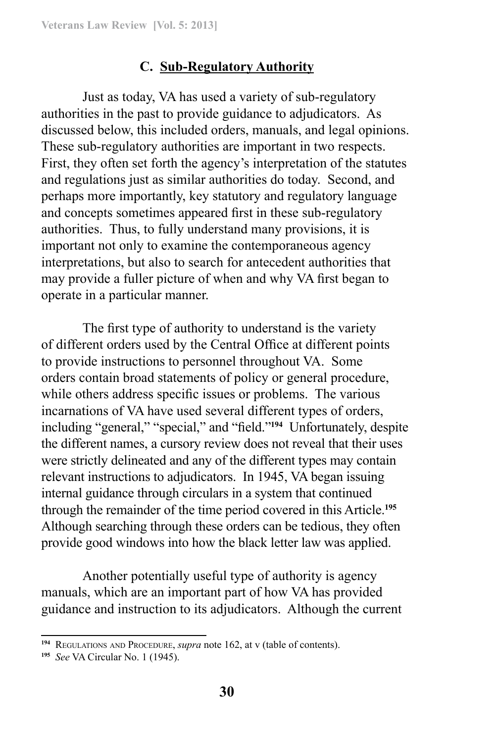# **C. Sub-Regulatory Authority**

Just as today, VA has used a variety of sub-regulatory authorities in the past to provide guidance to adjudicators. As discussed below, this included orders, manuals, and legal opinions. These sub-regulatory authorities are important in two respects. First, they often set forth the agency's interpretation of the statutes and regulations just as similar authorities do today. Second, and perhaps more importantly, key statutory and regulatory language and concepts sometimes appeared first in these sub-regulatory authorities. Thus, to fully understand many provisions, it is important not only to examine the contemporaneous agency interpretations, but also to search for antecedent authorities that may provide a fuller picture of when and why VA first began to operate in a particular manner.

The first type of authority to understand is the variety of different orders used by the Central Office at different points to provide instructions to personnel throughout VA. Some orders contain broad statements of policy or general procedure, while others address specific issues or problems. The various incarnations of VA have used several different types of orders, including "general," "special," and "field."**<sup>194</sup>** Unfortunately, despite the different names, a cursory review does not reveal that their uses were strictly delineated and any of the different types may contain relevant instructions to adjudicators. In 1945, VA began issuing internal guidance through circulars in a system that continued through the remainder of the time period covered in this Article.**<sup>195</sup>** Although searching through these orders can be tedious, they often provide good windows into how the black letter law was applied.

Another potentially useful type of authority is agency manuals, which are an important part of how VA has provided guidance and instruction to its adjudicators. Although the current

<sup>&</sup>lt;sup>194</sup> REGULATIONS AND PROCEDURE, *supra* note 162, at v (table of contents).

**<sup>195</sup>** *See* VA Circular No. 1 (1945).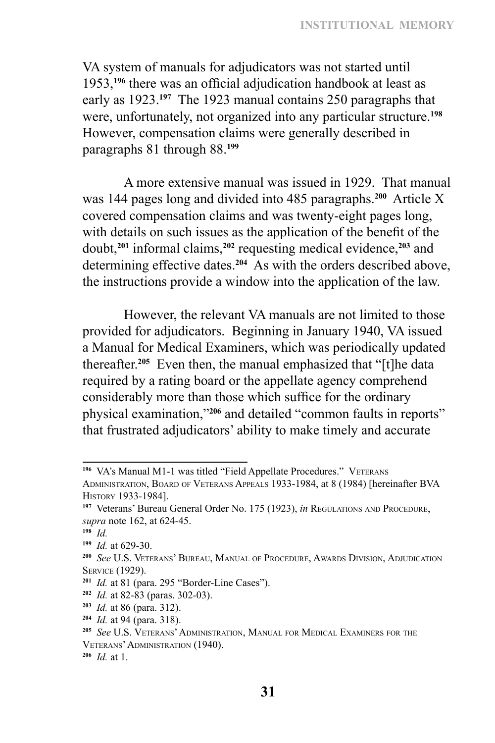VA system of manuals for adjudicators was not started until 1953,**<sup>196</sup>** there was an official adjudication handbook at least as early as 1923.**<sup>197</sup>** The 1923 manual contains 250 paragraphs that were, unfortunately, not organized into any particular structure.**<sup>198</sup>** However, compensation claims were generally described in paragraphs 81 through 88.**<sup>199</sup>**

A more extensive manual was issued in 1929. That manual was 144 pages long and divided into 485 paragraphs.**<sup>200</sup>** Article X covered compensation claims and was twenty-eight pages long, with details on such issues as the application of the benefit of the doubt,**<sup>201</sup>** informal claims,**<sup>202</sup>** requesting medical evidence,**<sup>203</sup>** and determining effective dates.**<sup>204</sup>** As with the orders described above, the instructions provide a window into the application of the law.

However, the relevant VA manuals are not limited to those provided for adjudicators. Beginning in January 1940, VA issued a Manual for Medical Examiners, which was periodically updated thereafter.**<sup>205</sup>** Even then, the manual emphasized that "[t]he data required by a rating board or the appellate agency comprehend considerably more than those which suffice for the ordinary physical examination,"**<sup>206</sup>** and detailed "common faults in reports" that frustrated adjudicators' ability to make timely and accurate

<sup>&</sup>lt;sup>196</sup> VA's Manual M1-1 was titled "Field Appellate Procedures." VETERANS Administration, Board of Veterans Appeals 1933-1984, at 8 (1984) [hereinafter BVA History 1933-1984].

**<sup>197</sup>** Veterans' Bureau General Order No. 175 (1923), *in* Regulations and Procedure, *supra* note 162, at 624-45.

**<sup>198</sup>** *Id.*

**<sup>199</sup>** *Id.* at 629-30.

**<sup>200</sup>** *See* U.S. Veterans' Bureau, Manual of Procedure, Awards Division, Adjudication Service (1929).

**<sup>201</sup>** *Id.* at 81 (para. 295 "Border-Line Cases").

**<sup>202</sup>** *Id.* at 82-83 (paras. 302-03).

**<sup>203</sup>** *Id.* at 86 (para. 312).

**<sup>204</sup>** *Id.* at 94 (para. 318).

**<sup>205</sup>** *See* U.S. Veterans' Administration, Manual for Medical Examiners for the Veterans' Administration (1940).

**<sup>206</sup>** *Id.* at 1.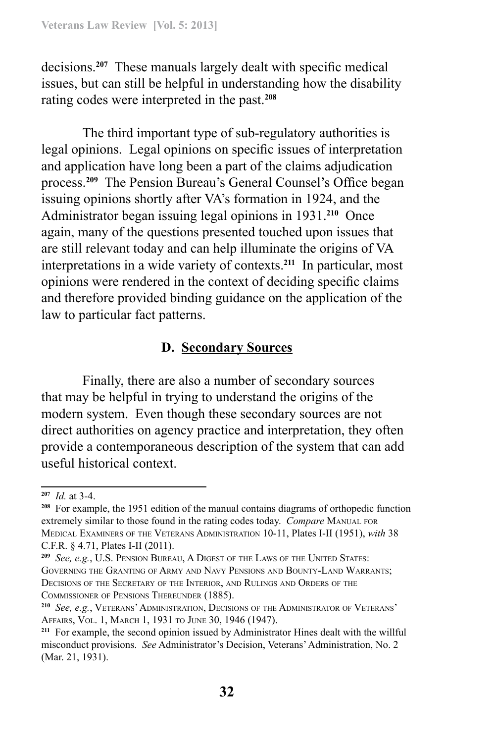decisions.**<sup>207</sup>** These manuals largely dealt with specific medical issues, but can still be helpful in understanding how the disability rating codes were interpreted in the past.**<sup>208</sup>**

The third important type of sub-regulatory authorities is legal opinions. Legal opinions on specific issues of interpretation and application have long been a part of the claims adjudication process.**<sup>209</sup>** The Pension Bureau's General Counsel's Office began issuing opinions shortly after VA's formation in 1924, and the Administrator began issuing legal opinions in 1931.**<sup>210</sup>** Once again, many of the questions presented touched upon issues that are still relevant today and can help illuminate the origins of VA interpretations in a wide variety of contexts.**<sup>211</sup>** In particular, most opinions were rendered in the context of deciding specific claims and therefore provided binding guidance on the application of the law to particular fact patterns.

# **D. Secondary Sources**

Finally, there are also a number of secondary sources that may be helpful in trying to understand the origins of the modern system. Even though these secondary sources are not direct authorities on agency practice and interpretation, they often provide a contemporaneous description of the system that can add useful historical context.

**<sup>207</sup>** *Id.* at 3-4.

**<sup>208</sup>** For example, the 1951 edition of the manual contains diagrams of orthopedic function extremely similar to those found in the rating codes today. *Compare* MANUAL FOR Medical Examiners of the Veterans Administration 10-11, Plates I-II (1951), *with* 38 C.F.R. § 4.71, Plates I-II (2011).

**<sup>209</sup>** *See, e.g.*, U.S. Pension Bureau, A Digest of the Laws of the United States: Governing the Granting of Army and Navy Pensions and Bounty-Land Warrants; Decisions of the Secretary of the Interior, and Rulings and Orders of the Commissioner of Pensions Thereunder (1885).

**<sup>210</sup>** *See, e.g.*, Veterans' Administration, Decisions of the Administrator of Veterans' Affairs, Vol. 1, March 1, 1931 to June 30, 1946 (1947).

**<sup>211</sup>** For example, the second opinion issued by Administrator Hines dealt with the willful misconduct provisions. *See* Administrator's Decision, Veterans' Administration, No. 2 (Mar. 21, 1931).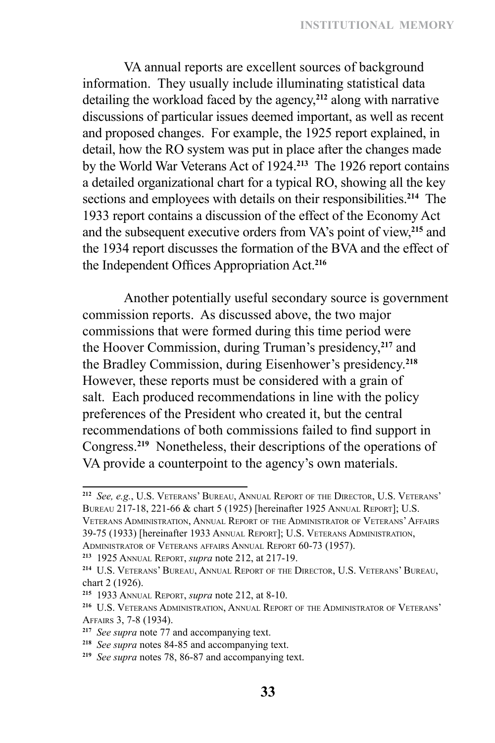VA annual reports are excellent sources of background information. They usually include illuminating statistical data detailing the workload faced by the agency,**<sup>212</sup>** along with narrative discussions of particular issues deemed important, as well as recent and proposed changes. For example, the 1925 report explained, in detail, how the RO system was put in place after the changes made by the World War Veterans Act of 1924.**<sup>213</sup>** The 1926 report contains a detailed organizational chart for a typical RO, showing all the key sections and employees with details on their responsibilities.**<sup>214</sup>** The 1933 report contains a discussion of the effect of the Economy Act and the subsequent executive orders from VA's point of view,**<sup>215</sup>** and the 1934 report discusses the formation of the BVA and the effect of the Independent Offices Appropriation Act.**<sup>216</sup>**

Another potentially useful secondary source is government commission reports. As discussed above, the two major commissions that were formed during this time period were the Hoover Commission, during Truman's presidency,**<sup>217</sup>** and the Bradley Commission, during Eisenhower's presidency.**<sup>218</sup>** However, these reports must be considered with a grain of salt. Each produced recommendations in line with the policy preferences of the President who created it, but the central recommendations of both commissions failed to find support in Congress.**<sup>219</sup>** Nonetheless, their descriptions of the operations of VA provide a counterpoint to the agency's own materials.

39-75 (1933) [hereinafter 1933 Annual Report]; U.S. Veterans Administration, Administrator of Veterans affairs Annual Report 60-73 (1957).

**<sup>212</sup>** *See, e.g.*, U.S. Veterans' Bureau, Annual Report of the Director, U.S. Veterans' Bureau 217-18, 221-66 & chart 5 (1925) [hereinafter 1925 Annual Report]; U.S. Veterans Administration, Annual Report of the Administrator of Veterans' Affairs

**<sup>213</sup>** 1925 Annual Report, *supra* note 212, at 217-19.

**<sup>214</sup>** U.S. Veterans' Bureau, Annual Report of the Director, U.S. Veterans' Bureau, chart 2 (1926).

**<sup>215</sup>** 1933 Annual Report, *supra* note 212, at 8-10.

**<sup>216</sup>** U.S. Veterans Administration, Annual Report of the Administrator of Veterans' Affairs 3, 7-8 (1934).

**<sup>217</sup>** *See supra* note 77 and accompanying text.

**<sup>218</sup>** *See supra* notes 84-85 and accompanying text.

**<sup>219</sup>** *See supra* notes 78, 86-87 and accompanying text.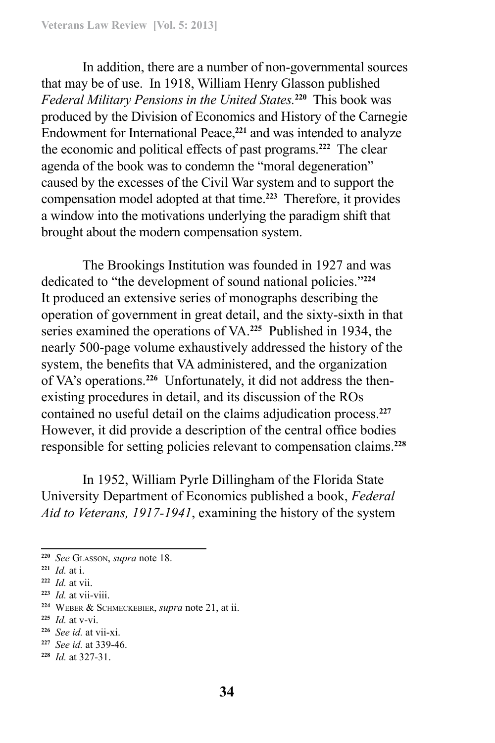In addition, there are a number of non-governmental sources that may be of use. In 1918, William Henry Glasson published *Federal Military Pensions in the United States.***<sup>220</sup>** This book was produced by the Division of Economics and History of the Carnegie Endowment for International Peace,**<sup>221</sup>** and was intended to analyze the economic and political effects of past programs.**<sup>222</sup>** The clear agenda of the book was to condemn the "moral degeneration" caused by the excesses of the Civil War system and to support the compensation model adopted at that time.**<sup>223</sup>** Therefore, it provides a window into the motivations underlying the paradigm shift that brought about the modern compensation system.

The Brookings Institution was founded in 1927 and was dedicated to "the development of sound national policies."**<sup>224</sup>** It produced an extensive series of monographs describing the operation of government in great detail, and the sixty-sixth in that series examined the operations of VA.**<sup>225</sup>** Published in 1934, the nearly 500-page volume exhaustively addressed the history of the system, the benefits that VA administered, and the organization of VA's operations.**226** Unfortunately, it did not address the thenexisting procedures in detail, and its discussion of the ROs contained no useful detail on the claims adjudication process.**<sup>227</sup>** However, it did provide a description of the central office bodies responsible for setting policies relevant to compensation claims.**<sup>228</sup>**

In 1952, William Pyrle Dillingham of the Florida State University Department of Economics published a book, *Federal Aid to Veterans, 1917-1941*, examining the history of the system

**<sup>225</sup>** *Id.* at v-vi.

- **<sup>227</sup>** *See id.* at 339-46.
- **<sup>228</sup>** *Id.* at 327-31.

**<sup>220</sup>** *See* Glasson, *supra* note 18.

**<sup>221</sup>** *Id.* at i.

**<sup>222</sup>** *Id.* at vii.

**<sup>223</sup>** *Id.* at vii-viii.

**<sup>224</sup>** Weber & Schmeckebier, *supra* note 21, at ii.

**<sup>226</sup>** *See id.* at vii-xi.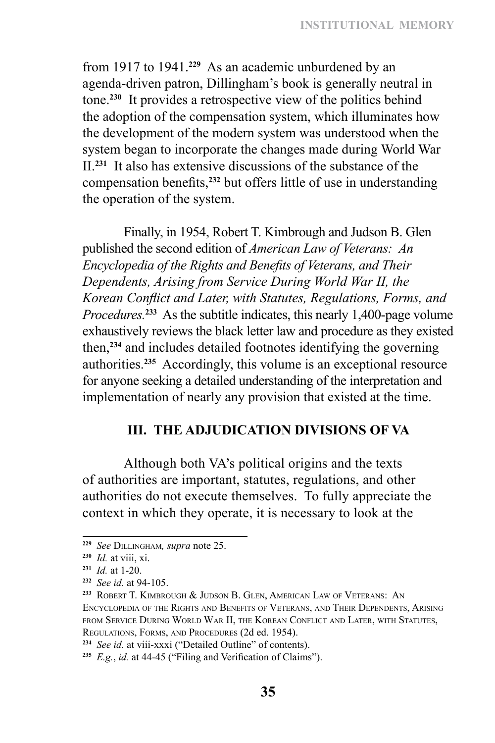from 1917 to 1941.**<sup>229</sup>** As an academic unburdened by an agenda‑driven patron, Dillingham's book is generally neutral in tone.**<sup>230</sup>** It provides a retrospective view of the politics behind the adoption of the compensation system, which illuminates how the development of the modern system was understood when the system began to incorporate the changes made during World War II.**<sup>231</sup>** It also has extensive discussions of the substance of the compensation benefits,**<sup>232</sup>** but offers little of use in understanding the operation of the system.

Finally, in 1954, Robert T. Kimbrough and Judson B. Glen published the second edition of *American Law of Veterans: An Encyclopedia of the Rights and Benefits of Veterans, and Their Dependents, Arising from Service During World War II, the Korean Conflict and Later, with Statutes, Regulations, Forms, and Procedures.***<sup>233</sup>** As the subtitle indicates, this nearly 1,400-page volume exhaustively reviews the black letter law and procedure as they existed then,**<sup>234</sup>** and includes detailed footnotes identifying the governing authorities.**<sup>235</sup>** Accordingly, this volume is an exceptional resource for anyone seeking a detailed understanding of the interpretation and implementation of nearly any provision that existed at the time.

### **III. THE ADJUDICATION DIVISIONS OF VA**

Although both VA's political origins and the texts of authorities are important, statutes, regulations, and other authorities do not execute themselves. To fully appreciate the context in which they operate, it is necessary to look at the

**<sup>229</sup>** *See* Dillingham*, supra* note 25.

**<sup>230</sup>** *Id.* at viii, xi.

**<sup>231</sup>** *Id.* at 1-20.

**<sup>232</sup>** *See id.* at 94-105.

**<sup>233</sup>** Robert T. Kimbrough & Judson B. Glen, American Law of Veterans: An Encyclopedia of the Rights and Benefits of Veterans, and Their Dependents, Arising from Service During World War II, the Korean Conflict and Later, with Statutes, Regulations, Forms, and Procedures (2d ed. 1954).

**<sup>234</sup>** *See id.* at viii-xxxi ("Detailed Outline" of contents).

**<sup>235</sup>** *E.g.*, *id.* at 44-45 ("Filing and Verification of Claims").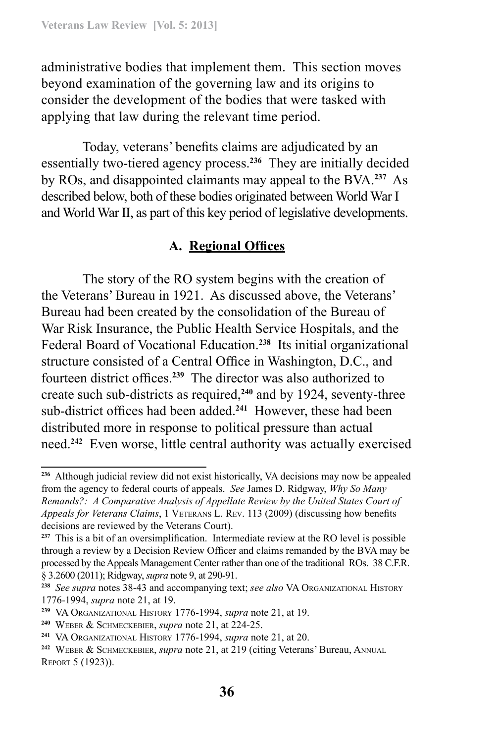administrative bodies that implement them. This section moves beyond examination of the governing law and its origins to consider the development of the bodies that were tasked with applying that law during the relevant time period.

Today, veterans' benefits claims are adjudicated by an essentially two-tiered agency process.**<sup>236</sup>** They are initially decided by ROs, and disappointed claimants may appeal to the BVA.**<sup>237</sup>** As described below, both of these bodies originated between World War I and World War II, as part of this key period of legislative developments.

# **A. Regional Offices**

The story of the RO system begins with the creation of the Veterans' Bureau in 1921. As discussed above, the Veterans' Bureau had been created by the consolidation of the Bureau of War Risk Insurance, the Public Health Service Hospitals, and the Federal Board of Vocational Education.**<sup>238</sup>** Its initial organizational structure consisted of a Central Office in Washington, D.C., and fourteen district offices.**<sup>239</sup>** The director was also authorized to create such sub-districts as required,<sup>240</sup> and by 1924, seventy-three sub-district offices had been added.**<sup>241</sup>** However, these had been distributed more in response to political pressure than actual need.**<sup>242</sup>** Even worse, little central authority was actually exercised

**<sup>236</sup>** Although judicial review did not exist historically, VA decisions may now be appealed from the agency to federal courts of appeals. *See* James D. Ridgway, *Why So Many Remands?: A Comparative Analysis of Appellate Review by the United States Court of Appeals for Veterans Claims*, 1 Veterans L. Rev. 113 (2009) (discussing how benefits decisions are reviewed by the Veterans Court).

**<sup>237</sup>** This is a bit of an oversimplification. Intermediate review at the RO level is possible through a review by a Decision Review Officer and claims remanded by the BVA may be processed by the Appeals Management Center rather than one of the traditional ROs. 38 C.F.R. § 3.2600 (2011); Ridgway, *supra* note 9, at 290-91.

**<sup>238</sup>** *See supra* notes 38-43 and accompanying text; *see also* VA Organizational History 1776-1994, *supra* note 21, at 19.

**<sup>239</sup>** VA Organizational History 1776-1994, *supra* note 21, at 19.

**<sup>240</sup>** Weber & Schmeckebier, *supra* note 21, at 224-25.

**<sup>241</sup>** VA Organizational History 1776-1994, *supra* note 21, at 20.

**<sup>242</sup>** Weber & Schmeckebier, *supra* note 21, at 219 (citing Veterans' Bureau, Annual Report 5 (1923)).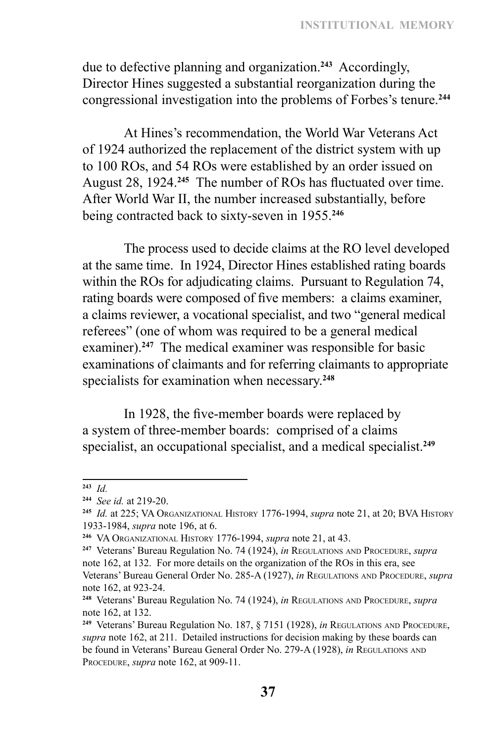due to defective planning and organization.**<sup>243</sup>** Accordingly, Director Hines suggested a substantial reorganization during the congressional investigation into the problems of Forbes's tenure.**<sup>244</sup>**

At Hines's recommendation, the World War Veterans Act of 1924 authorized the replacement of the district system with up to 100 ROs, and 54 ROs were established by an order issued on August 28, 1924.**<sup>245</sup>** The number of ROs has fluctuated over time. After World War II, the number increased substantially, before being contracted back to sixty-seven in 1955.**<sup>246</sup>**

The process used to decide claims at the RO level developed at the same time. In 1924, Director Hines established rating boards within the ROs for adjudicating claims. Pursuant to Regulation 74, rating boards were composed of five members: a claims examiner, a claims reviewer, a vocational specialist, and two "general medical referees" (one of whom was required to be a general medical examiner).<sup>247</sup> The medical examiner was responsible for basic examinations of claimants and for referring claimants to appropriate specialists for examination when necessary.**<sup>248</sup>**

In 1928, the five-member boards were replaced by a system of three-member boards: comprised of a claims specialist, an occupational specialist, and a medical specialist.**<sup>249</sup>**

**<sup>243</sup>** *Id.* 

**<sup>244</sup>** *See id.* at 219-20.

**<sup>245</sup>** *Id.* at 225; VA Organizational History 1776-1994, *supra* note 21, at 20; BVA History 1933-1984, *supra* note 196, at 6.

**<sup>246</sup>** VA Organizational History 1776-1994, *supra* note 21, at 43.

**<sup>247</sup>** Veterans' Bureau Regulation No. 74 (1924), *in* Regulations and Procedure, *supra* note 162, at 132. For more details on the organization of the ROs in this era, see Veterans' Bureau General Order No. 285-A (1927), *in* Regulations and Procedure, *supra* note 162, at 923-24.

**<sup>248</sup>** Veterans' Bureau Regulation No. 74 (1924), *in* Regulations and Procedure, *supra* note 162, at 132.

**<sup>249</sup>** Veterans' Bureau Regulation No. 187, § 7151 (1928), *in* Regulations and Procedure, *supra* note 162, at 211. Detailed instructions for decision making by these boards can be found in Veterans' Bureau General Order No. 279-A (1928), *in* REGULATIONS AND Procedure, *supra* note 162, at 909-11.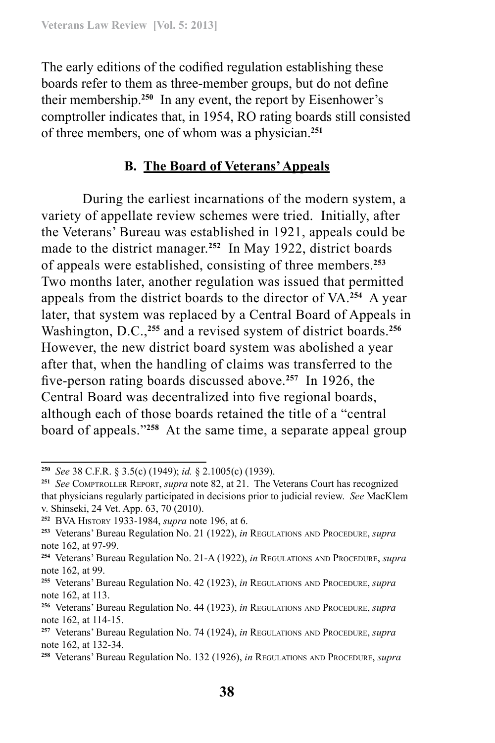The early editions of the codified regulation establishing these boards refer to them as three-member groups, but do not define their membership.**<sup>250</sup>** In any event, the report by Eisenhower's comptroller indicates that, in 1954, RO rating boards still consisted of three members, one of whom was a physician.**<sup>251</sup>**

### **B. The Board of Veterans' Appeals**

During the earliest incarnations of the modern system, a variety of appellate review schemes were tried. Initially, after the Veterans' Bureau was established in 1921, appeals could be made to the district manager.**<sup>252</sup>** In May 1922, district boards of appeals were established, consisting of three members.**<sup>253</sup>** Two months later, another regulation was issued that permitted appeals from the district boards to the director of VA.**<sup>254</sup>** A year later, that system was replaced by a Central Board of Appeals in Washington, D.C.,**<sup>255</sup>** and a revised system of district boards.**<sup>256</sup>** However, the new district board system was abolished a year after that, when the handling of claims was transferred to the five-person rating boards discussed above.**<sup>257</sup>** In 1926, the Central Board was decentralized into five regional boards, although each of those boards retained the title of a "central board of appeals."**<sup>258</sup>** At the same time, a separate appeal group

**<sup>250</sup>** *See* 38 C.F.R. § 3.5(c) (1949); *id.* § 2.1005(c) (1939).

**<sup>251</sup>** *See* Comptroller Report, *supra* note 82, at 21. The Veterans Court has recognized that physicians regularly participated in decisions prior to judicial review. *See* MacKlem v. Shinseki, 24 Vet. App. 63, 70 (2010).

**<sup>252</sup>** BVA History 1933-1984, *supra* note 196, at 6.

**<sup>253</sup>** Veterans' Bureau Regulation No. 21 (1922), *in* Regulations and Procedure, *supra* note 162, at 97-99.

**<sup>254</sup>** Veterans' Bureau Regulation No. 21-A (1922), *in* Regulations and Procedure, *supra* note 162, at 99.

**<sup>255</sup>** Veterans' Bureau Regulation No. 42 (1923), *in* Regulations and Procedure, *supra* note 162, at 113.

**<sup>256</sup>** Veterans' Bureau Regulation No. 44 (1923), *in* Regulations and Procedure, *supra* note 162, at 114-15.

**<sup>257</sup>** Veterans' Bureau Regulation No. 74 (1924), *in* Regulations and Procedure, *supra* note 162, at 132-34.

**<sup>258</sup>** Veterans' Bureau Regulation No. 132 (1926), *in* Regulations and Procedure, *supra*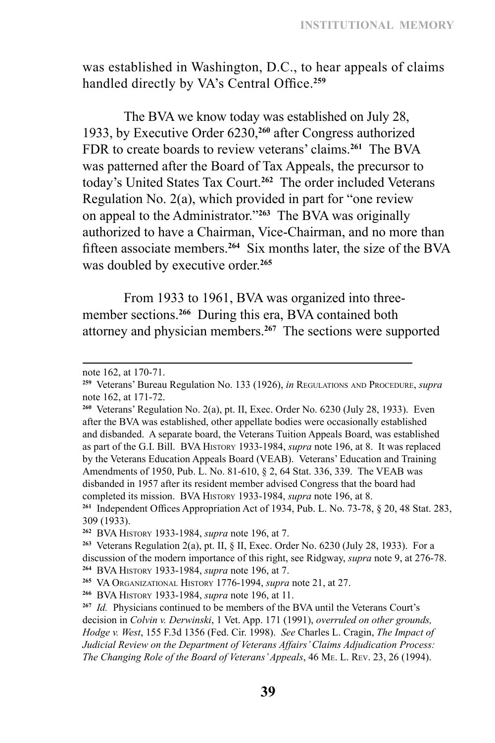was established in Washington, D.C., to hear appeals of claims handled directly by VA's Central Office.**<sup>259</sup>**

The BVA we know today was established on July 28, 1933, by Executive Order 6230,**<sup>260</sup>** after Congress authorized FDR to create boards to review veterans' claims.**<sup>261</sup>** The BVA was patterned after the Board of Tax Appeals, the precursor to today's United States Tax Court.**<sup>262</sup>** The order included Veterans Regulation No. 2(a), which provided in part for "one review on appeal to the Administrator."**<sup>263</sup>** The BVA was originally authorized to have a Chairman, Vice-Chairman, and no more than fifteen associate members.**<sup>264</sup>** Six months later, the size of the BVA was doubled by executive order.**<sup>265</sup>**

From 1933 to 1961, BVA was organized into threemember sections.**<sup>266</sup>** During this era, BVA contained both attorney and physician members.**<sup>267</sup>** The sections were supported

note 162, at 170-71.

**<sup>259</sup>** Veterans' Bureau Regulation No. 133 (1926), *in* Regulations and Procedure, *supra* note 162, at 171-72.

**<sup>260</sup>** Veterans' Regulation No. 2(a), pt. II, Exec. Order No. 6230 (July 28, 1933). Even after the BVA was established, other appellate bodies were occasionally established and disbanded. A separate board, the Veterans Tuition Appeals Board, was established as part of the G.I. Bill. BVA History 1933-1984, *supra* note 196, at 8. It was replaced by the Veterans Education Appeals Board (VEAB). Veterans' Education and Training Amendments of 1950, Pub. L. No. 81-610, § 2, 64 Stat. 336, 339. The VEAB was disbanded in 1957 after its resident member advised Congress that the board had completed its mission. BVA History 1933-1984, *supra* note 196, at 8.

**<sup>261</sup>** Independent Offices Appropriation Act of 1934, Pub. L. No. 73-78, § 20, 48 Stat. 283, 309 (1933).

**<sup>262</sup>** BVA History 1933-1984, *supra* note 196, at 7.

**<sup>263</sup>** Veterans Regulation 2(a), pt. II, § II, Exec. Order No. 6230 (July 28, 1933). For a discussion of the modern importance of this right, see Ridgway, *supra* note 9, at 276-78. **<sup>264</sup>** BVA History 1933-1984, *supra* note 196, at 7.

**<sup>265</sup>** VA Organizational History 1776-1994, *supra* note 21, at 27.

**<sup>266</sup>** BVA History 1933-1984, *supra* note 196, at 11.

**<sup>267</sup>** *Id.* Physicians continued to be members of the BVA until the Veterans Court's decision in *Colvin v. Derwinski*, 1 Vet. App. 171 (1991), *overruled on other grounds, Hodge v. West*, 155 F.3d 1356 (Fed. Cir. 1998). *See* Charles L. Cragin, *The Impact of Judicial Review on the Department of Veterans Affairs' Claims Adjudication Process: The Changing Role of the Board of Veterans' Appeals*, 46 Me. L. Rev. 23, 26 (1994).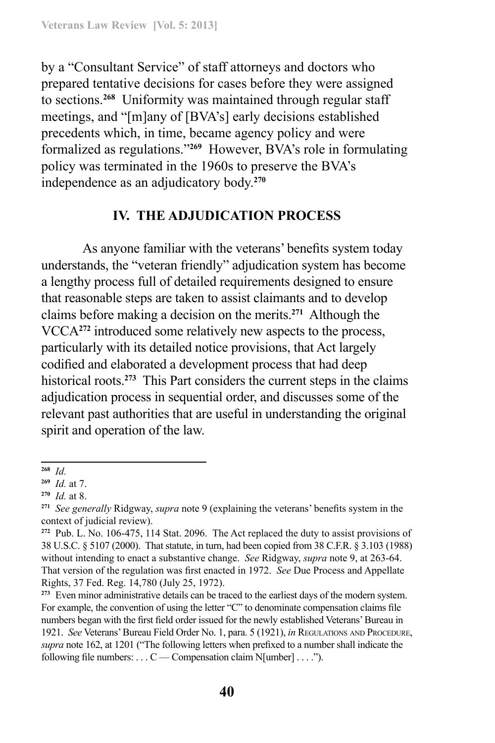by a "Consultant Service" of staff attorneys and doctors who prepared tentative decisions for cases before they were assigned to sections.**<sup>268</sup>** Uniformity was maintained through regular staff meetings, and "[m]any of [BVA's] early decisions established precedents which, in time, became agency policy and were formalized as regulations."**<sup>269</sup>** However, BVA's role in formulating policy was terminated in the 1960s to preserve the BVA's independence as an adjudicatory body.**<sup>270</sup>**

#### **IV. THE ADJUDICATION PROCESS**

As anyone familiar with the veterans' benefits system today understands, the "veteran friendly" adjudication system has become a lengthy process full of detailed requirements designed to ensure that reasonable steps are taken to assist claimants and to develop claims before making a decision on the merits.**<sup>271</sup>** Although the VCCA**<sup>272</sup>** introduced some relatively new aspects to the process, particularly with its detailed notice provisions, that Act largely codified and elaborated a development process that had deep historical roots.**<sup>273</sup>** This Part considers the current steps in the claims adjudication process in sequential order, and discusses some of the relevant past authorities that are useful in understanding the original spirit and operation of the law.

**<sup>268</sup>** *Id.*

**<sup>269</sup>** *Id.* at 7.

**<sup>270</sup>** *Id.* at 8.

**<sup>271</sup>** *See generally* Ridgway, *supra* note 9 (explaining the veterans' benefits system in the context of judicial review).

**<sup>272</sup>** Pub. L. No. 106-475, 114 Stat. 2096. The Act replaced the duty to assist provisions of 38 U.S.C. § 5107 (2000). That statute, in turn, had been copied from 38 C.F.R. § 3.103 (1988) without intending to enact a substantive change. *See* Ridgway, *supra* note 9, at 263-64. That version of the regulation was first enacted in 1972. *See* Due Process and Appellate Rights, 37 Fed. Reg. 14,780 (July 25, 1972).

**<sup>273</sup>** Even minor administrative details can be traced to the earliest days of the modern system. For example, the convention of using the letter "C" to denominate compensation claims file numbers began with the first field order issued for the newly established Veterans' Bureau in 1921. *See* Veterans' Bureau Field Order No. 1, para. 5 (1921), *in* Regulations and Procedure, *supra* note 162, at 1201 ("The following letters when prefixed to a number shall indicate the following file numbers: . . . C — Compensation claim N[umber] . . . .").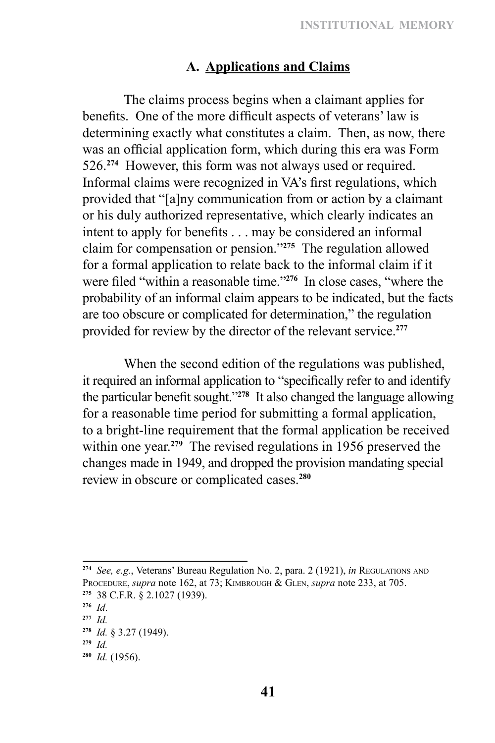# **A. Applications and Claims**

The claims process begins when a claimant applies for benefits. One of the more difficult aspects of veterans' law is determining exactly what constitutes a claim. Then, as now, there was an official application form, which during this era was Form 526.**<sup>274</sup>** However, this form was not always used or required. Informal claims were recognized in VA's first regulations, which provided that "[a]ny communication from or action by a claimant or his duly authorized representative, which clearly indicates an intent to apply for benefits . . . may be considered an informal claim for compensation or pension."**<sup>275</sup>** The regulation allowed for a formal application to relate back to the informal claim if it were filed "within a reasonable time."**<sup>276</sup>** In close cases, "where the probability of an informal claim appears to be indicated, but the facts are too obscure or complicated for determination," the regulation provided for review by the director of the relevant service.**<sup>277</sup>**

When the second edition of the regulations was published, it required an informal application to "specifically refer to and identify the particular benefit sought."**<sup>278</sup>** It also changed the language allowing for a reasonable time period for submitting a formal application, to a bright-line requirement that the formal application be received within one year.<sup>279</sup> The revised regulations in 1956 preserved the changes made in 1949, and dropped the provision mandating special review in obscure or complicated cases.**<sup>280</sup>**

**<sup>274</sup>** *See, e.g.*, Veterans' Bureau Regulation No. 2, para. 2 (1921), *in* Regulations and PROCEDURE, *supra* note 162, at 73; KIMBROUGH & GLEN, *supra* note 233, at 705. **<sup>275</sup>** 38 C.F.R. § 2.1027 (1939).

**<sup>276</sup>** *Id*.

**<sup>277</sup>** *Id.* 

**<sup>278</sup>** *Id.* § 3.27 (1949).

**<sup>279</sup>** *Id.* **<sup>280</sup>** *Id.* (1956).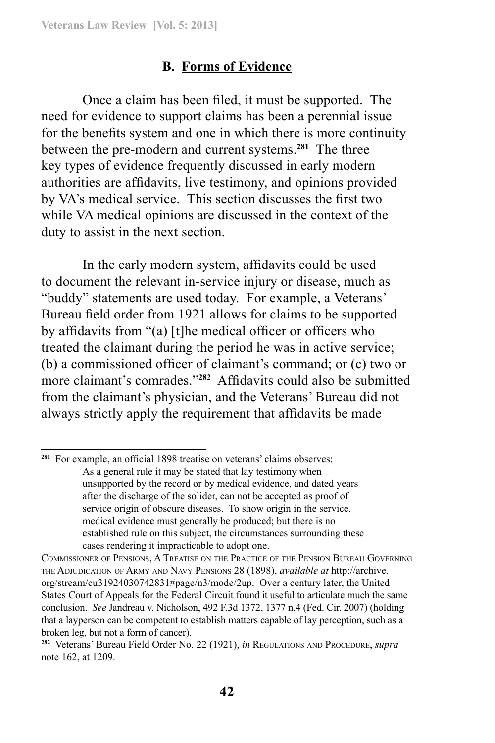# **B. Forms of Evidence**

Once a claim has been filed, it must be supported. The need for evidence to support claims has been a perennial issue for the benefits system and one in which there is more continuity between the pre-modern and current systems.**<sup>281</sup>** The three key types of evidence frequently discussed in early modern authorities are affidavits, live testimony, and opinions provided by VA's medical service. This section discusses the first two while VA medical opinions are discussed in the context of the duty to assist in the next section.

In the early modern system, affidavits could be used to document the relevant in-service injury or disease, much as "buddy" statements are used today. For example, a Veterans' Bureau field order from 1921 allows for claims to be supported by affidavits from "(a) [t]he medical officer or officers who treated the claimant during the period he was in active service; (b) a commissioned officer of claimant's command; or (c) two or more claimant's comrades."**<sup>282</sup>** Affidavits could also be submitted from the claimant's physician, and the Veterans' Bureau did not always strictly apply the requirement that affidavits be made

**<sup>281</sup>** For example, an official 1898 treatise on veterans' claims observes: As a general rule it may be stated that lay testimony when unsupported by the record or by medical evidence, and dated years after the discharge of the solider, can not be accepted as proof of service origin of obscure diseases. To show origin in the service, medical evidence must generally be produced; but there is no established rule on this subject, the circumstances surrounding these cases rendering it impracticable to adopt one.

Commissioner of Pensions, A Treatise on the Practice of the Pension Bureau Governing the Adjudication of Army and Navy Pensions 28 (1898), *available at* http://archive. org/stream/cu31924030742831#page/n3/mode/2up. Over a century later, the United States Court of Appeals for the Federal Circuit found it useful to articulate much the same conclusion. *See* Jandreau v. Nicholson, 492 F.3d 1372, 1377 n.4 (Fed. Cir. 2007) (holding that a layperson can be competent to establish matters capable of lay perception, such as a broken leg, but not a form of cancer).

**<sup>282</sup>** Veterans' Bureau Field Order No. 22 (1921), *in* Regulations and Procedure, *supra* note 162, at 1209.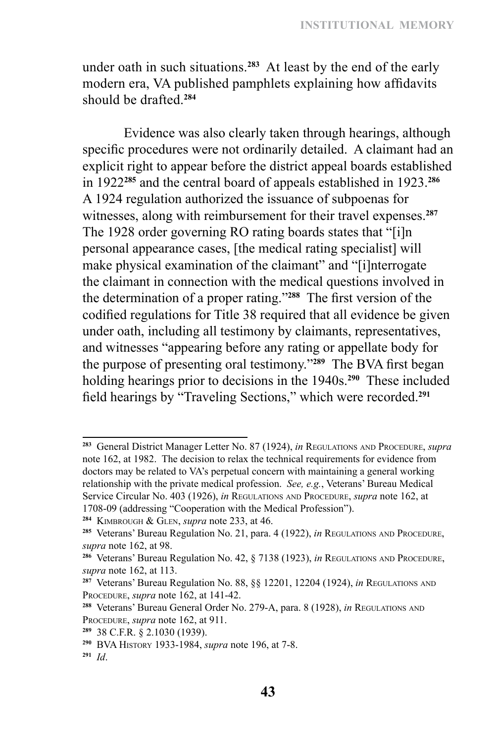under oath in such situations.**<sup>283</sup>** At least by the end of the early modern era, VA published pamphlets explaining how affidavits should be drafted.**<sup>284</sup>**

Evidence was also clearly taken through hearings, although specific procedures were not ordinarily detailed. A claimant had an explicit right to appear before the district appeal boards established in 1922**<sup>285</sup>** and the central board of appeals established in 1923.**<sup>286</sup>** A 1924 regulation authorized the issuance of subpoenas for witnesses, along with reimbursement for their travel expenses.**<sup>287</sup>** The 1928 order governing RO rating boards states that "[i]n personal appearance cases, [the medical rating specialist] will make physical examination of the claimant" and "[i]nterrogate the claimant in connection with the medical questions involved in the determination of a proper rating."**<sup>288</sup>** The first version of the codified regulations for Title 38 required that all evidence be given under oath, including all testimony by claimants, representatives, and witnesses "appearing before any rating or appellate body for the purpose of presenting oral testimony."**<sup>289</sup>** The BVA first began holding hearings prior to decisions in the 1940s.**<sup>290</sup>** These included field hearings by "Traveling Sections," which were recorded.**<sup>291</sup>**

**<sup>283</sup>** General District Manager Letter No. 87 (1924), *in* Regulations and Procedure, *supra* note 162, at 1982. The decision to relax the technical requirements for evidence from doctors may be related to VA's perpetual concern with maintaining a general working relationship with the private medical profession. *See, e.g.*, Veterans' Bureau Medical Service Circular No. 403 (1926), *in* Regulations and Procedure, *supra* note 162, at 1708-09 (addressing "Cooperation with the Medical Profession").

**<sup>284</sup>** Kimbrough & Glen, *supra* note 233, at 46.

**<sup>285</sup>** Veterans' Bureau Regulation No. 21, para. 4 (1922), *in* Regulations and Procedure, *supra* note 162, at 98.

**<sup>286</sup>** Veterans' Bureau Regulation No. 42, § 7138 (1923), *in* Regulations and Procedure, *supra* note 162, at 113.

**<sup>287</sup>** Veterans' Bureau Regulation No. 88, §§ 12201, 12204 (1924), *in* Regulations and PROCEDURE, *supra* note 162, at 141-42.

**<sup>288</sup>** Veterans' Bureau General Order No. 279-A, para. 8 (1928), *in* Regulations and PROCEDURE, *supra* note 162, at 911.

**<sup>289</sup>** 38 C.F.R. § 2.1030 (1939).

**<sup>290</sup>** BVA History 1933-1984, *supra* note 196, at 7-8.

**<sup>291</sup>** *Id*.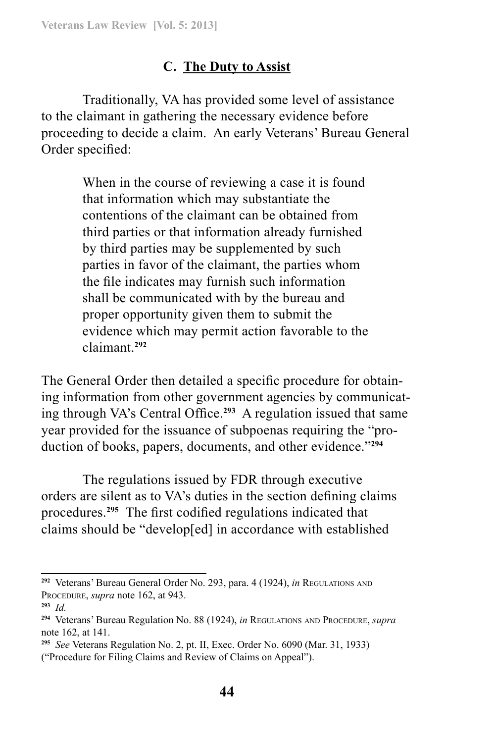# **C. The Duty to Assist**

Traditionally, VA has provided some level of assistance to the claimant in gathering the necessary evidence before proceeding to decide a claim. An early Veterans' Bureau General Order specified:

> When in the course of reviewing a case it is found that information which may substantiate the contentions of the claimant can be obtained from third parties or that information already furnished by third parties may be supplemented by such parties in favor of the claimant, the parties whom the file indicates may furnish such information shall be communicated with by the bureau and proper opportunity given them to submit the evidence which may permit action favorable to the claimant.**<sup>292</sup>**

The General Order then detailed a specific procedure for obtaining information from other government agencies by communicating through VA's Central Office.**<sup>293</sup>** A regulation issued that same year provided for the issuance of subpoenas requiring the "production of books, papers, documents, and other evidence."**<sup>294</sup>**

The regulations issued by FDR through executive orders are silent as to VA's duties in the section defining claims procedures.**<sup>295</sup>** The first codified regulations indicated that claims should be "develop[ed] in accordance with established

**<sup>292</sup>** Veterans' Bureau General Order No. 293, para. 4 (1924), *in* Regulations and PROCEDURE, *supra* note 162, at 943.

**<sup>293</sup>** *Id.*

**<sup>294</sup>** Veterans' Bureau Regulation No. 88 (1924), *in* Regulations and Procedure, *supra* note 162, at 141.

**<sup>295</sup>** *See* Veterans Regulation No. 2, pt. II, Exec. Order No. 6090 (Mar. 31, 1933) ("Procedure for Filing Claims and Review of Claims on Appeal").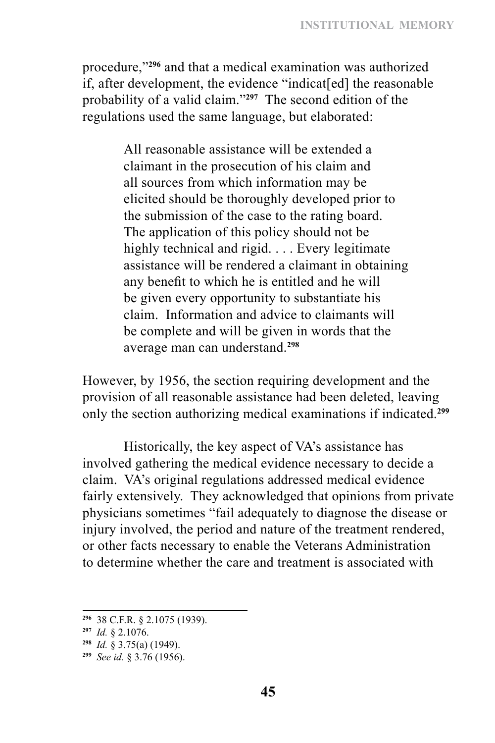procedure,"**<sup>296</sup>** and that a medical examination was authorized if, after development, the evidence "indicat[ed] the reasonable probability of a valid claim."**<sup>297</sup>** The second edition of the regulations used the same language, but elaborated:

> All reasonable assistance will be extended a claimant in the prosecution of his claim and all sources from which information may be elicited should be thoroughly developed prior to the submission of the case to the rating board. The application of this policy should not be highly technical and rigid. . . . Every legitimate assistance will be rendered a claimant in obtaining any benefit to which he is entitled and he will be given every opportunity to substantiate his claim. Information and advice to claimants will be complete and will be given in words that the average man can understand.**<sup>298</sup>**

However, by 1956, the section requiring development and the provision of all reasonable assistance had been deleted, leaving only the section authorizing medical examinations if indicated.**<sup>299</sup>**

Historically, the key aspect of VA's assistance has involved gathering the medical evidence necessary to decide a claim. VA's original regulations addressed medical evidence fairly extensively. They acknowledged that opinions from private physicians sometimes "fail adequately to diagnose the disease or injury involved, the period and nature of the treatment rendered, or other facts necessary to enable the Veterans Administration to determine whether the care and treatment is associated with

**<sup>296</sup>** 38 C.F.R. § 2.1075 (1939).

**<sup>297</sup>** *Id.* § 2.1076.

**<sup>298</sup>** *Id.* § 3.75(a) (1949).

**<sup>299</sup>** *See id.* § 3.76 (1956).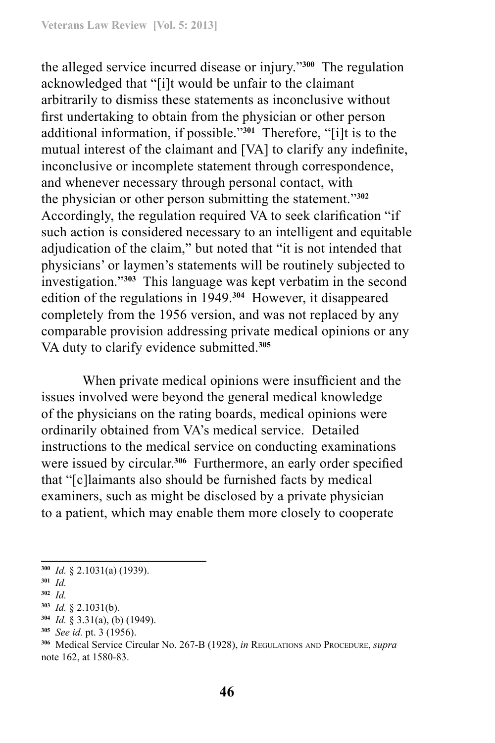the alleged service incurred disease or injury."**<sup>300</sup>** The regulation acknowledged that "[i]t would be unfair to the claimant arbitrarily to dismiss these statements as inconclusive without first undertaking to obtain from the physician or other person additional information, if possible."**<sup>301</sup>** Therefore, "[i]t is to the mutual interest of the claimant and [VA] to clarify any indefinite, inconclusive or incomplete statement through correspondence, and whenever necessary through personal contact, with the physician or other person submitting the statement."**<sup>302</sup>** Accordingly, the regulation required VA to seek clarification "if such action is considered necessary to an intelligent and equitable adjudication of the claim," but noted that "it is not intended that physicians' or laymen's statements will be routinely subjected to investigation."**<sup>303</sup>** This language was kept verbatim in the second edition of the regulations in 1949.**<sup>304</sup>** However, it disappeared completely from the 1956 version, and was not replaced by any comparable provision addressing private medical opinions or any VA duty to clarify evidence submitted.**<sup>305</sup>**

When private medical opinions were insufficient and the issues involved were beyond the general medical knowledge of the physicians on the rating boards, medical opinions were ordinarily obtained from VA's medical service. Detailed instructions to the medical service on conducting examinations were issued by circular.**<sup>306</sup>** Furthermore, an early order specified that "[c]laimants also should be furnished facts by medical examiners, such as might be disclosed by a private physician to a patient, which may enable them more closely to cooperate

**<sup>300</sup>** *Id.* § 2.1031(a) (1939).

**<sup>301</sup>** *Id.*

**<sup>302</sup>** *Id.*

**<sup>303</sup>** *Id.* § 2.1031(b).

**<sup>304</sup>** *Id.* § 3.31(a), (b) (1949).

**<sup>305</sup>** *See id.* pt. 3 (1956).

**<sup>306</sup>** Medical Service Circular No. 267-B (1928), *in* Regulations and Procedure, *supra* note 162, at 1580-83.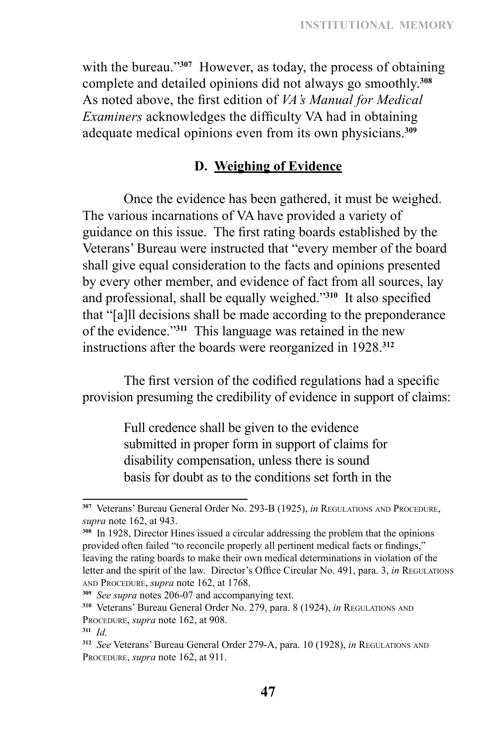with the bureau.<sup>3307</sup> However, as today, the process of obtaining complete and detailed opinions did not always go smoothly.**<sup>308</sup>** As noted above, the first edition of *VA's Manual for Medical Examiners* acknowledges the difficulty VA had in obtaining adequate medical opinions even from its own physicians.**<sup>309</sup>**

### **D. Weighing of Evidence**

Once the evidence has been gathered, it must be weighed. The various incarnations of VA have provided a variety of guidance on this issue. The first rating boards established by the Veterans' Bureau were instructed that "every member of the board shall give equal consideration to the facts and opinions presented by every other member, and evidence of fact from all sources, lay and professional, shall be equally weighed."**<sup>310</sup>** It also specified that "[a]ll decisions shall be made according to the preponderance of the evidence."**<sup>311</sup>** This language was retained in the new instructions after the boards were reorganized in 1928.**<sup>312</sup>**

The first version of the codified regulations had a specific provision presuming the credibility of evidence in support of claims:

> Full credence shall be given to the evidence submitted in proper form in support of claims for disability compensation, unless there is sound basis for doubt as to the conditions set forth in the

**<sup>307</sup>** Veterans' Bureau General Order No. 293-B (1925), *in* Regulations and Procedure, *supra* note 162, at 943.

**<sup>308</sup>** In 1928, Director Hines issued a circular addressing the problem that the opinions provided often failed "to reconcile properly all pertinent medical facts or findings," leaving the rating boards to make their own medical determinations in violation of the letter and the spirit of the law. Director's Office Circular No. 491, para. 3, *in* Regulations and Procedure, *supra* note 162, at 1768.

**<sup>309</sup>** *See supra* notes 206-07 and accompanying text.

**<sup>310</sup>** Veterans' Bureau General Order No. 279, para. 8 (1924), *in* Regulations and PROCEDURE, *supra* note 162, at 908.

**<sup>311</sup>** *Id.*

**<sup>312</sup>** *See* Veterans' Bureau General Order 279-A, para. 10 (1928), *in* Regulations and PROCEDURE, *supra* note 162, at 911.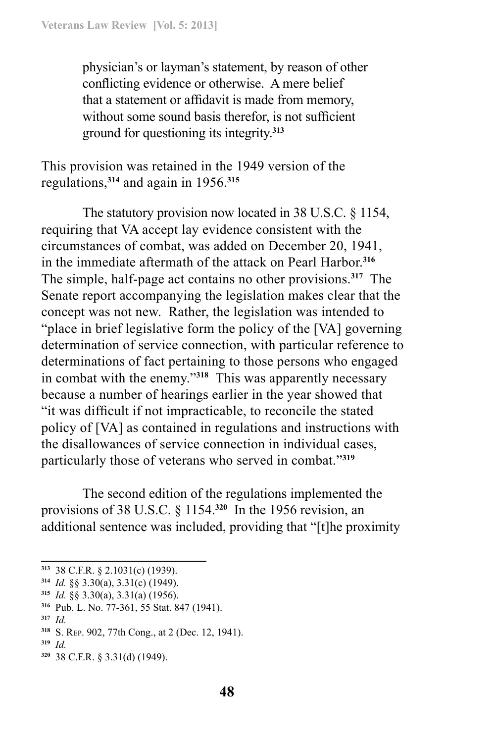physician's or layman's statement, by reason of other conflicting evidence or otherwise. A mere belief that a statement or affidavit is made from memory, without some sound basis therefor, is not sufficient ground for questioning its integrity.**<sup>313</sup>**

This provision was retained in the 1949 version of the regulations,**<sup>314</sup>** and again in 1956.**<sup>315</sup>**

The statutory provision now located in 38 U.S.C. § 1154, requiring that VA accept lay evidence consistent with the circumstances of combat, was added on December 20, 1941, in the immediate aftermath of the attack on Pearl Harbor.**<sup>316</sup>** The simple, half-page act contains no other provisions.**<sup>317</sup>** The Senate report accompanying the legislation makes clear that the concept was not new. Rather, the legislation was intended to "place in brief legislative form the policy of the [VA] governing determination of service connection, with particular reference to determinations of fact pertaining to those persons who engaged in combat with the enemy."**<sup>318</sup>** This was apparently necessary because a number of hearings earlier in the year showed that "it was difficult if not impracticable, to reconcile the stated policy of [VA] as contained in regulations and instructions with the disallowances of service connection in individual cases, particularly those of veterans who served in combat."**<sup>319</sup>**

The second edition of the regulations implemented the provisions of 38 U.S.C. § 1154.**<sup>320</sup>** In the 1956 revision, an additional sentence was included, providing that "[t]he proximity

- **<sup>315</sup>** *Id.* §§ 3.30(a), 3.31(a) (1956).
- **<sup>316</sup>** Pub. L. No. 77-361, 55 Stat. 847 (1941).
- **<sup>317</sup>** *Id.*

- **<sup>319</sup>** *Id.*
- **320** 38 C.F.R. § 3.31(d) (1949).

**<sup>313</sup>** 38 C.F.R. § 2.1031(c) (1939).

**<sup>314</sup>** *Id.* §§ 3.30(a), 3.31(c) (1949).

**<sup>318</sup>** S. Rep. 902, 77th Cong., at 2 (Dec. 12, 1941).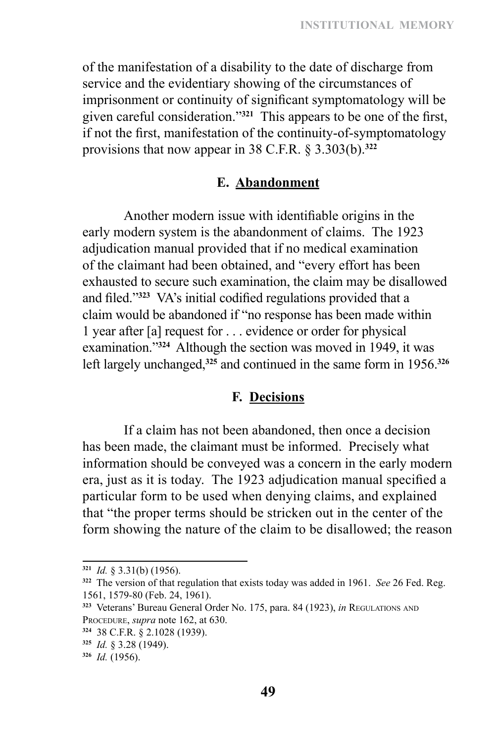of the manifestation of a disability to the date of discharge from service and the evidentiary showing of the circumstances of imprisonment or continuity of significant symptomatology will be given careful consideration."**<sup>321</sup>** This appears to be one of the first, if not the first, manifestation of the continuity-of-symptomatology provisions that now appear in 38 C.F.R. § 3.303(b).**<sup>322</sup>**

#### **E. Abandonment**

Another modern issue with identifiable origins in the early modern system is the abandonment of claims. The 1923 adjudication manual provided that if no medical examination of the claimant had been obtained, and "every effort has been exhausted to secure such examination, the claim may be disallowed and filed."**<sup>323</sup>** VA's initial codified regulations provided that a claim would be abandoned if "no response has been made within 1 year after [a] request for . . . evidence or order for physical examination."**<sup>324</sup>** Although the section was moved in 1949, it was left largely unchanged,**<sup>325</sup>** and continued in the same form in 1956.**<sup>326</sup>**

#### **F. Decisions**

If a claim has not been abandoned, then once a decision has been made, the claimant must be informed. Precisely what information should be conveyed was a concern in the early modern era, just as it is today. The 1923 adjudication manual specified a particular form to be used when denying claims, and explained that "the proper terms should be stricken out in the center of the form showing the nature of the claim to be disallowed; the reason

**<sup>321</sup>** *Id.* § 3.31(b) (1956).

**<sup>322</sup>** The version of that regulation that exists today was added in 1961. *See* 26 Fed. Reg. 1561, 1579-80 (Feb. 24, 1961).

**<sup>323</sup>** Veterans' Bureau General Order No. 175, para. 84 (1923), *in* Regulations and PROCEDURE, *supra* note 162, at 630.

**<sup>324</sup>** 38 C.F.R. § 2.1028 (1939).

**<sup>325</sup>** *Id.* § 3.28 (1949).

**<sup>326</sup>** *Id.* (1956).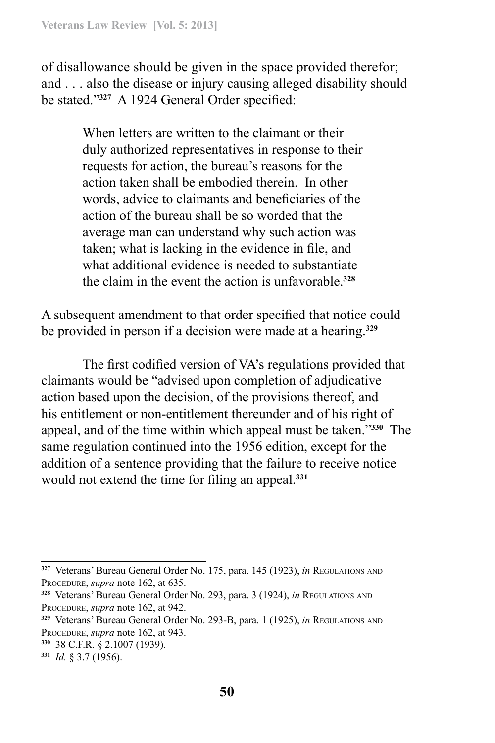of disallowance should be given in the space provided therefor; and . . . also the disease or injury causing alleged disability should be stated."**<sup>327</sup>** A 1924 General Order specified:

> When letters are written to the claimant or their duly authorized representatives in response to their requests for action, the bureau's reasons for the action taken shall be embodied therein. In other words, advice to claimants and beneficiaries of the action of the bureau shall be so worded that the average man can understand why such action was taken; what is lacking in the evidence in file, and what additional evidence is needed to substantiate the claim in the event the action is unfavorable.**<sup>328</sup>**

A subsequent amendment to that order specified that notice could be provided in person if a decision were made at a hearing.**<sup>329</sup>**

The first codified version of VA's regulations provided that claimants would be "advised upon completion of adjudicative action based upon the decision, of the provisions thereof, and his entitlement or non-entitlement thereunder and of his right of appeal, and of the time within which appeal must be taken."**<sup>330</sup>** The same regulation continued into the 1956 edition, except for the addition of a sentence providing that the failure to receive notice would not extend the time for filing an appeal.**<sup>331</sup>**

**<sup>327</sup>** Veterans' Bureau General Order No. 175, para. 145 (1923), *in* Regulations and PROCEDURE, *supra* note 162, at 635.

**<sup>328</sup>** Veterans' Bureau General Order No. 293, para. 3 (1924), *in* Regulations and PROCEDURE, *supra* note 162, at 942.

**<sup>329</sup>** Veterans' Bureau General Order No. 293-B, para. 1 (1925), *in* Regulations and PROCEDURE, *supra* note 162, at 943.

**<sup>330</sup>** 38 C.F.R. § 2.1007 (1939).

**<sup>331</sup>** *Id.* § 3.7 (1956).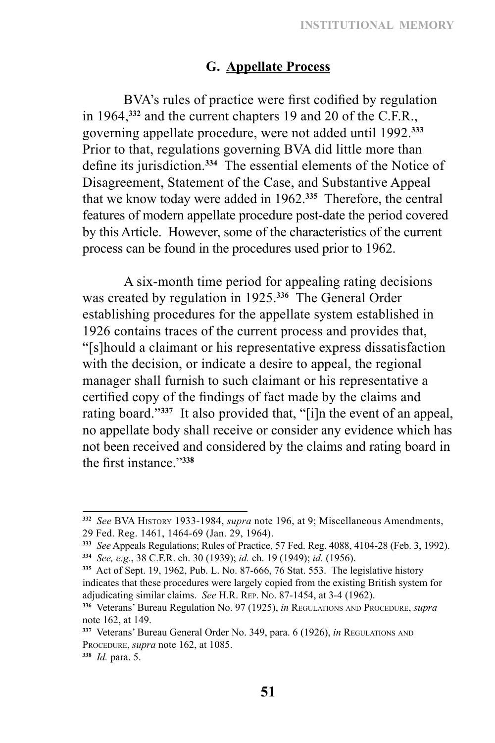### **G. Appellate Process**

BVA's rules of practice were first codified by regulation in 1964,**<sup>332</sup>** and the current chapters 19 and 20 of the C.F.R., governing appellate procedure, were not added until 1992.**<sup>333</sup>** Prior to that, regulations governing BVA did little more than define its jurisdiction.**<sup>334</sup>** The essential elements of the Notice of Disagreement, Statement of the Case, and Substantive Appeal that we know today were added in 1962.**<sup>335</sup>** Therefore, the central features of modern appellate procedure post-date the period covered by this Article. However, some of the characteristics of the current process can be found in the procedures used prior to 1962.

A six-month time period for appealing rating decisions was created by regulation in 1925.**<sup>336</sup>** The General Order establishing procedures for the appellate system established in 1926 contains traces of the current process and provides that, "[s]hould a claimant or his representative express dissatisfaction with the decision, or indicate a desire to appeal, the regional manager shall furnish to such claimant or his representative a certified copy of the findings of fact made by the claims and rating board."**<sup>337</sup>** It also provided that, "[i]n the event of an appeal, no appellate body shall receive or consider any evidence which has not been received and considered by the claims and rating board in the first instance."**<sup>338</sup>**

**<sup>332</sup>** *See* BVA History 1933-1984, *supra* note 196, at 9; Miscellaneous Amendments, 29 Fed. Reg. 1461, 1464-69 (Jan. 29, 1964).

**<sup>333</sup>** *See* Appeals Regulations; Rules of Practice, 57 Fed. Reg. 4088, 4104-28 (Feb. 3, 1992). **<sup>334</sup>** *See, e.g.*, 38 C.F.R. ch. 30 (1939); *id.* ch. 19 (1949); *id.* (1956).

**<sup>335</sup>** Act of Sept. 19, 1962, Pub. L. No. 87-666, 76 Stat. 553. The legislative history indicates that these procedures were largely copied from the existing British system for adjudicating similar claims. *See* H.R. Rep. No. 87-1454, at 3-4 (1962).

**<sup>336</sup>** Veterans' Bureau Regulation No. 97 (1925), *in* Regulations and Procedure, *supra* note 162, at 149.

**<sup>337</sup>** Veterans' Bureau General Order No. 349, para. 6 (1926), *in* Regulations and PROCEDURE, *supra* note 162, at 1085.

**<sup>338</sup>** *Id.* para. 5.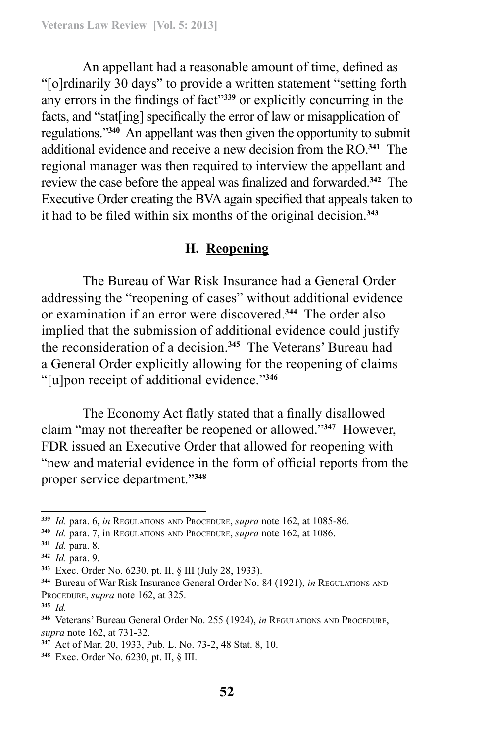An appellant had a reasonable amount of time, defined as "[o]rdinarily 30 days" to provide a written statement "setting forth any errors in the findings of fact"**<sup>339</sup>** or explicitly concurring in the facts, and "stat[ing] specifically the error of law or misapplication of regulations."**<sup>340</sup>** An appellant was then given the opportunity to submit additional evidence and receive a new decision from the RO.**<sup>341</sup>** The regional manager was then required to interview the appellant and review the case before the appeal was finalized and forwarded.**<sup>342</sup>** The Executive Order creating the BVA again specified that appeals taken to it had to be filed within six months of the original decision.**<sup>343</sup>**

# **H. Reopening**

The Bureau of War Risk Insurance had a General Order addressing the "reopening of cases" without additional evidence or examination if an error were discovered.**<sup>344</sup>** The order also implied that the submission of additional evidence could justify the reconsideration of a decision.**<sup>345</sup>** The Veterans' Bureau had a General Order explicitly allowing for the reopening of claims "[u]pon receipt of additional evidence."**<sup>346</sup>**

The Economy Act flatly stated that a finally disallowed claim "may not thereafter be reopened or allowed."**<sup>347</sup>** However, FDR issued an Executive Order that allowed for reopening with "new and material evidence in the form of official reports from the proper service department."**<sup>348</sup>**

**<sup>339</sup>** *Id.* para. 6, *in* Regulations and Procedure, *supra* note 162, at 1085-86.

**<sup>340</sup>** *Id.* para. 7, in Regulations and Procedure, *supra* note 162, at 1086.

**<sup>341</sup>** *Id.* para. 8.

**<sup>342</sup>** *Id.* para. 9.

**<sup>343</sup>** Exec. Order No. 6230, pt. II, § III (July 28, 1933).

**<sup>344</sup>** Bureau of War Risk Insurance General Order No. 84 (1921), *in* Regulations and PROCEDURE, *supra* note 162, at 325.

**<sup>345</sup>** *Id.*

**<sup>346</sup>** Veterans' Bureau General Order No. 255 (1924), *in* Regulations and Procedure, *supra* note 162, at 731-32.

**<sup>347</sup>** Act of Mar. 20, 1933, Pub. L. No. 73-2, 48 Stat. 8, 10.

**<sup>348</sup>** Exec. Order No. 6230, pt. II, § III.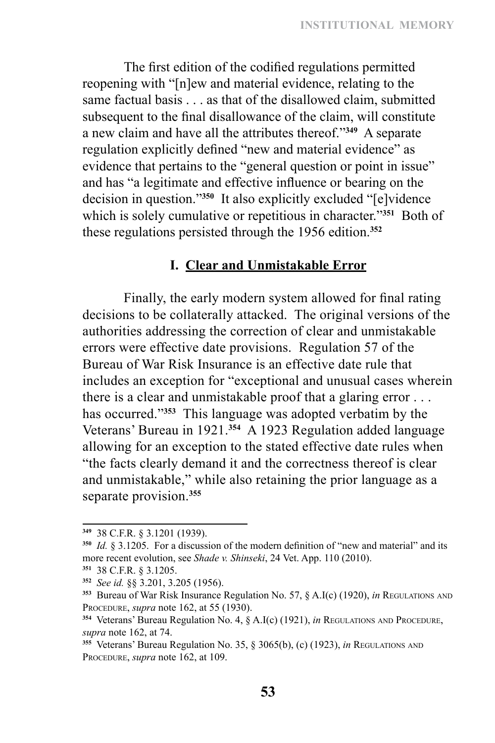The first edition of the codified regulations permitted reopening with "[n]ew and material evidence, relating to the same factual basis . . . as that of the disallowed claim, submitted subsequent to the final disallowance of the claim, will constitute a new claim and have all the attributes thereof."**<sup>349</sup>** A separate regulation explicitly defined "new and material evidence" as evidence that pertains to the "general question or point in issue" and has "a legitimate and effective influence or bearing on the decision in question."**<sup>350</sup>** It also explicitly excluded "[e]vidence which is solely cumulative or repetitious in character."**<sup>351</sup>** Both of these regulations persisted through the 1956 edition.**<sup>352</sup>**

# **I. Clear and Unmistakable Error**

Finally, the early modern system allowed for final rating decisions to be collaterally attacked. The original versions of the authorities addressing the correction of clear and unmistakable errors were effective date provisions. Regulation 57 of the Bureau of War Risk Insurance is an effective date rule that includes an exception for "exceptional and unusual cases wherein there is a clear and unmistakable proof that a glaring error . . . has occurred."**<sup>353</sup>** This language was adopted verbatim by the Veterans' Bureau in 1921.**<sup>354</sup>** A 1923 Regulation added language allowing for an exception to the stated effective date rules when "the facts clearly demand it and the correctness thereof is clear and unmistakable," while also retaining the prior language as a separate provision.**<sup>355</sup>**

**<sup>349</sup>** 38 C.F.R. § 3.1201 (1939).

**<sup>350</sup>** *Id.* § 3.1205. For a discussion of the modern definition of "new and material" and its more recent evolution, see *Shade v. Shinseki*, 24 Vet. App. 110 (2010).

**<sup>351</sup>** 38 C.F.R. § 3.1205.

**<sup>352</sup>** *See id.* §§ 3.201, 3.205 (1956).

**<sup>353</sup>** Bureau of War Risk Insurance Regulation No. 57, § A.I(c) (1920), *in* Regulations and Procedure, *supra* note 162, at 55 (1930).

**<sup>354</sup>** Veterans' Bureau Regulation No. 4, § A.I(c) (1921), *in* Regulations and Procedure, *supra* note 162, at 74.

**<sup>355</sup>** Veterans' Bureau Regulation No. 35, § 3065(b), (c) (1923), *in* Regulations and PROCEDURE, *supra* note 162, at 109.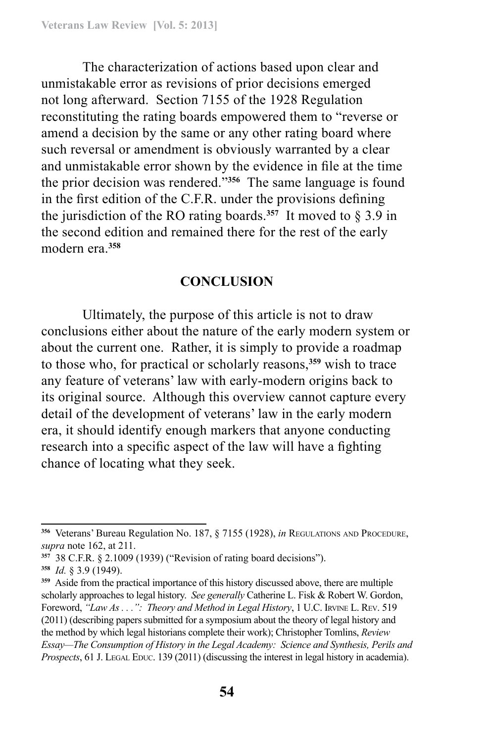The characterization of actions based upon clear and unmistakable error as revisions of prior decisions emerged not long afterward. Section 7155 of the 1928 Regulation reconstituting the rating boards empowered them to "reverse or amend a decision by the same or any other rating board where such reversal or amendment is obviously warranted by a clear and unmistakable error shown by the evidence in file at the time the prior decision was rendered."**<sup>356</sup>** The same language is found in the first edition of the C.F.R. under the provisions defining the jurisdiction of the RO rating boards.<sup>357</sup> It moved to  $\S 3.9$  in the second edition and remained there for the rest of the early modern era.**<sup>358</sup>**

#### **CONCLUSION**

Ultimately, the purpose of this article is not to draw conclusions either about the nature of the early modern system or about the current one. Rather, it is simply to provide a roadmap to those who, for practical or scholarly reasons,**<sup>359</sup>** wish to trace any feature of veterans' law with early-modern origins back to its original source. Although this overview cannot capture every detail of the development of veterans' law in the early modern era, it should identify enough markers that anyone conducting research into a specific aspect of the law will have a fighting chance of locating what they seek.

**<sup>356</sup>** Veterans' Bureau Regulation No. 187, § 7155 (1928), *in* Regulations and Procedure, *supra* note 162, at 211.

**<sup>357</sup>** 38 C.F.R. § 2.1009 (1939) ("Revision of rating board decisions").

**<sup>358</sup>** *Id.* § 3.9 (1949).

**<sup>359</sup>** Aside from the practical importance of this history discussed above, there are multiple scholarly approaches to legal history. *See generally* Catherine L. Fisk & Robert W. Gordon, Foreword, "Law As . . .": Theory and Method in Legal History, 1 U.C. IRVINE L. REV. 519 (2011) (describing papers submitted for a symposium about the theory of legal history and the method by which legal historians complete their work); Christopher Tomlins, *Review Essay—The Consumption of History in the Legal Academy: Science and Synthesis, Perils and Prospects*, 61 J. Legal Educ. 139 (2011) (discussing the interest in legal history in academia).